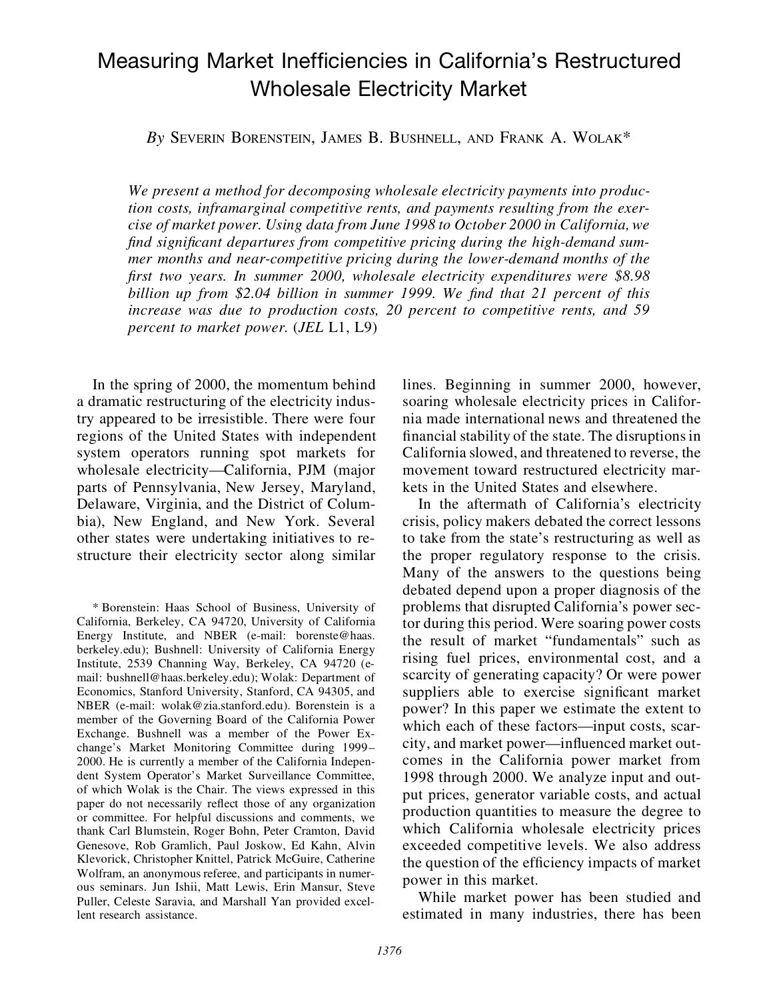# Measuring Market Inefficiencies in California's Restructured Wholesale Electricity Market

*By* SEVERIN BORENSTEIN, JAMES B. BUSHNELL, AND FRANK A. WOLAK\*

*We present a method for decomposing wholesale electricity payments into production costs, inframarginal competitive rents, and payments resulting from the exercise of market power. Using data from June 1998to October 2000 in California, we* find significant departures from competitive pricing during the high-demand sum*mer months and near-competitive pricing during the lower-demand months of the &rst two years. In summer 2000, wholesale electricity expenditures were \$8.98 billion up from \$2.04 billion in summer 1999. We find that 21 percent of this increase was due to production costs, 20 percent to competitive rents, and 59 percent to market power.* (*JEL* L1, L9)

In the spring of 2000, the momentum behind a dramatic restructuring of the electricity industry appeared to be irresistible. There were four regions of the United States with independent system operators running spot markets for wholesale electricity—California, PJM (major parts of Pennsylvania, New Jersey, Maryland, Delaware, Virginia, and the District of Columbia), New England, and New York. Several other states were undertaking initiatives to restructure their electricity sector along similar

\* Borenstein: Haas School of Business, University of California, Berkeley, CA 94720, University of California Energy Institute, and NBER (e-mail: borenste@haas. berkeley.edu); Bushnell: University of California Energy Institute, 2539 Channing Way, Berkeley, CA 94720 (email: bushnell@haas.berkeley.edu); Wolak: Department of Economics, Stanford University, Stanford, CA 94305, and NBER (e-mail: wolak@zia.stanford.edu). Borenstein is a member of the Governing Board of the California Power Exchange. Bushnell was a member of the Power Exchange's Market Monitoring Committee during 1999– 2000. He is currently a member of the California Independent System Operator's Market Surveillance Committee, of which Wolak is the Chair. The views expressed in this paper do not necessarily reflect those of any organization or committee. For helpful discussions and comments, we thank Carl Blumstein, Roger Bohn, Peter Cramton, David Genesove, Rob Gramlich, Paul Joskow, Ed Kahn, Alvin Klevorick, Christopher Knittel, Patrick McGuire, Catherine Wolfram, an anonymous referee, and participants in numerous seminars. Jun Ishii, Matt Lewis, Erin Mansur, Steve Puller, Celeste Saravia, and Marshall Yan provided excellent research assistance.

lines. Beginning in summer 2000, however, soaring wholesale electricity prices in California made international news and threatened the financial stability of the state. The disruptions in California slowed, and threatened to reverse, the movement toward restructured electricity markets in the United States and elsewhere.

In the aftermath of California's electricity crisis, policy makers debated the correct lessons to take from the state's restructuring as well as the proper regulatory response to the crisis. Many of the answers to the questions being debated depend upon a proper diagnosis of the problems that disrupted California's power sector during this period. Were soaring power costs the result of market "fundamentals" such as rising fuel prices, environmental cost, and a scarcity of generating capacity? Or were power suppliers able to exercise significant market power? In this paper we estimate the extent to which each of these factors—input costs, scarcity, and market power—influenced market outcomes in the California power market from 1998 through 2000. We analyze input and output prices, generator variable costs, and actual production quantities to measure the degree to which California wholesale electricity prices exceeded competitive levels. We also address the question of the efficiency impacts of market power in this market.

While market power has been studied and estimated in many industries, there has been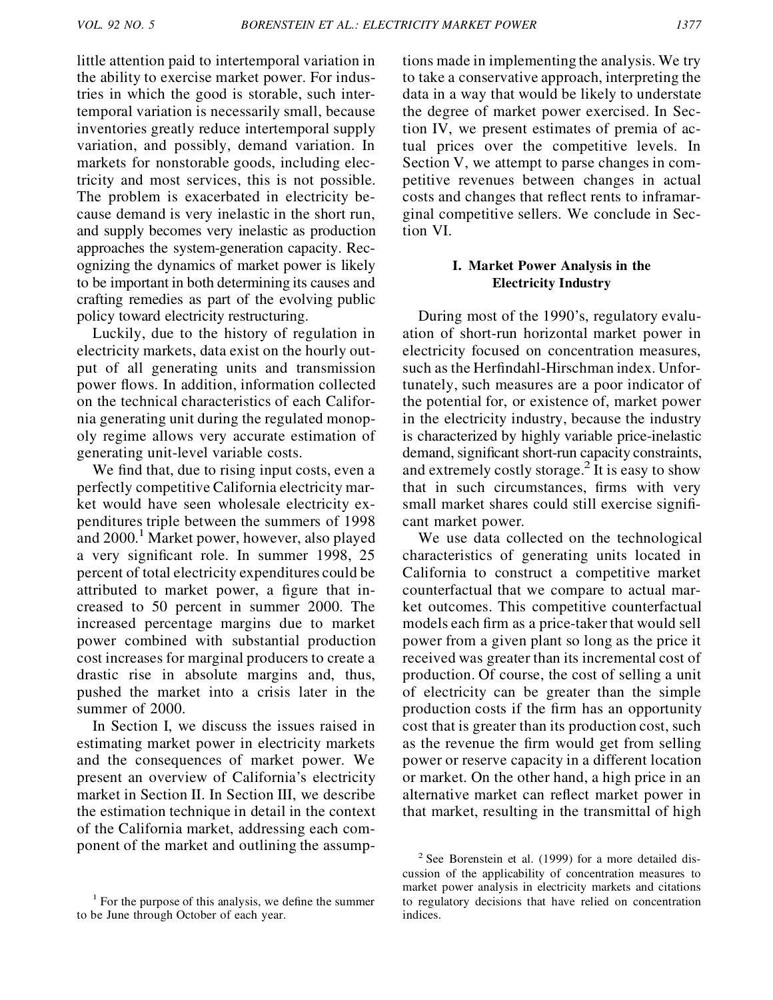little attention paid to intertemporal variation in the ability to exercise market power. For industries in which the good is storable, such intertemporal variation is necessarily small, because inventories greatly reduce intertemporal supply variation, and possibly, demand variation. In markets for nonstorable goods, including electricity and most services, this is not possible. The problem is exacerbated in electricity because demand is very inelastic in the short run, and supply becomes very inelastic as production approaches the system-generation capacity. Recognizing the dynamics of market power is likely to be important in both determining its causes and crafting remedies as part of the evolving public policy toward electricity restructuring.

Luckily, due to the history of regulation in electricity markets, data exist on the hourly output of all generating units and transmission power flows. In addition, information collected on the technical characteristics of each California generating unit during the regulated monopoly regime allows very accurate estimation of generating unit-level variable costs.

We find that, due to rising input costs, even a perfectly competitive California electricity market would have seen wholesale electricity expenditures triple between the summers of 1998 and 2000.<sup>1</sup> Market power, however, also played a very significant role. In summer 1998, 25 percent of total electricity expenditures could be attributed to market power, a figure that increased to 50 percent in summer 2000. The increased percentage margins due to market power combined with substantial production cost increases for marginal producers to create a drastic rise in absolute margins and, thus, pushed the market into a crisis later in the summer of 2000.

In Section I, we discuss the issues raised in estimating market power in electricity markets and the consequences of market power. We present an overview of California's electricity market in Section II. In Section III, we describe the estimation technique in detail in the context of the California market, addressing each component of the market and outlining the assumptions made in implementing the analysis. We try to take a conservative approach, interpreting the data in a way that would be likely to understate the degree of market power exercised. In Section IV, we present estimates of premia of actual prices over the competitive levels. In Section V, we attempt to parse changes in competitive revenues between changes in actual costs and changes that reflect rents to inframarginal competitive sellers. We conclude in Section VI.

# **I. Market Power Analysis in the Electricity Industry**

During most of the 1990's, regulatory evaluation of short-run horizontal market power in electricity focused on concentration measures, such as the Herfindahl-Hirschman index. Unfortunately, such measures are a poor indicator of the potential for, or existence of, market power in the electricity industry, because the industry is characterized by highly variable price-inelastic demand, significant short-run capacity constraints, and extremely costly storage.<sup>2</sup> It is easy to show that in such circumstances, firms with very small market shares could still exercise significant market power.

We use data collected on the technological characteristics of generating units located in California to construct a competitive market counterfactual that we compare to actual market outcomes. This competitive counterfactual models each firm as a price-taker that would sell power from a given plant so long as the price it received was greater than its incremental cost of production. Of course, the cost of selling a unit of electricity can be greater than the simple production costs if the firm has an opportunity cost that is greater than its production cost, such as the revenue the firm would get from selling power or reserve capacity in a different location or market. On the other hand, a high price in an alternative market can reflect market power in that market, resulting in the transmittal of high

 $<sup>1</sup>$  For the purpose of this analysis, we define the summer</sup> to be June through October of each year.

 $2$  See Borenstein et al. (1999) for a more detailed discussion of the applicability of concentration measures to market power analysis in electricity markets and citations to regulatory decisions that have relied on concentration indices.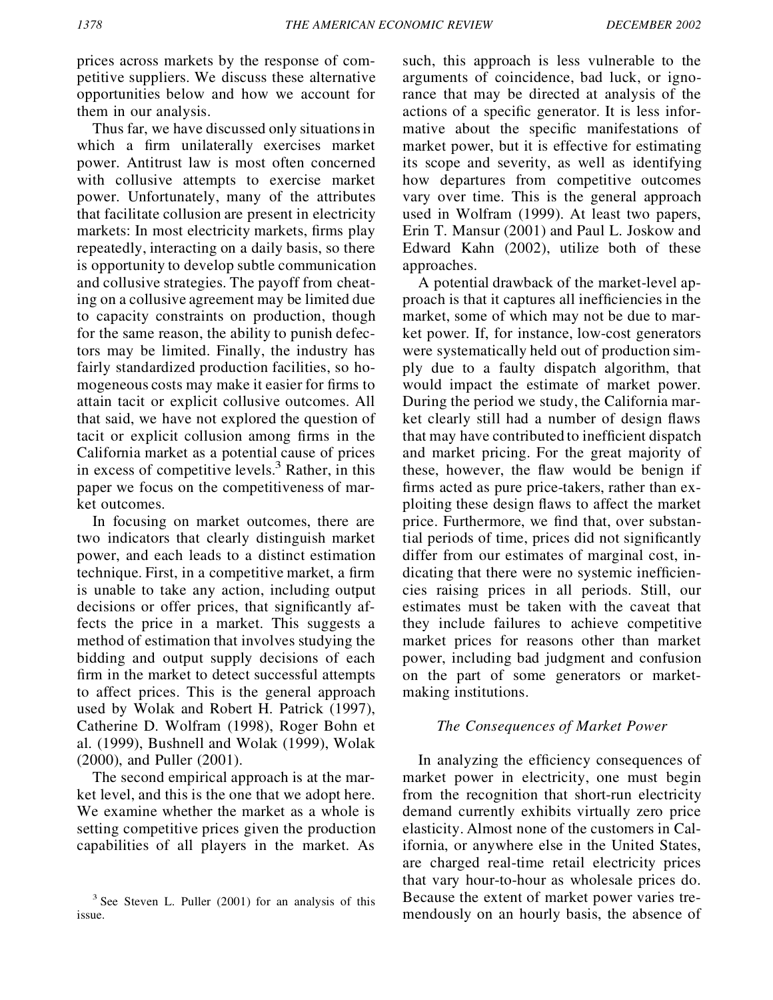prices across markets by the response of competitive suppliers. We discuss these alternative opportunities below and how we account for them in our analysis.

Thus far, we have discussed only situationsin which a firm unilaterally exercises market power. Antitrust law is most often concerned with collusive attempts to exercise market power. Unfortunately, many of the attributes that facilitate collusion are present in electricity markets: In most electricity markets, firms play repeatedly, interacting on a daily basis, so there is opportunity to develop subtle communication and collusive strategies. The payoff from cheating on a collusive agreement may be limited due to capacity constraints on production, though for the same reason, the ability to punish defectors may be limited. Finally, the industry has fairly standardized production facilities, so homogeneous costs may make it easier for firms to attain tacit or explicit collusive outcomes. All that said, we have not explored the question of tacit or explicit collusion among firms in the California market as a potential cause of prices in excess of competitive levels. $<sup>3</sup>$  Rather, in this</sup> paper we focus on the competitiveness of market outcomes.

In focusing on market outcomes, there are two indicators that clearly distinguish market power, and each leads to a distinct estimation technique. First, in a competitive market, a firm is unable to take any action, including output decisions or offer prices, that significantly affects the price in a market. This suggests a method of estimation that involves studying the bidding and output supply decisions of each firm in the market to detect successful attempts to affect prices. This is the general approach used by Wolak and Robert H. Patrick (1997), Catherine D. Wolfram (1998), Roger Bohn et al. (1999), Bushnell and Wolak (1999), Wolak (2000), and Puller (2001).

The second empirical approach is at the market level, and this is the one that we adopt here. We examine whether the market as a whole is setting competitive prices given the production capabilities of all players in the market. As

such, this approach is less vulnerable to the arguments of coincidence, bad luck, or ignorance that may be directed at analysis of the actions of a specific generator. It is less informative about the specific manifestations of market power, but it is effective for estimating its scope and severity, as well as identifying how departures from competitive outcomes vary over time. This is the general approach used in Wolfram (1999). At least two papers, Erin T. Mansur (2001) and Paul L. Joskow and Edward Kahn (2002), utilize both of these approaches.

A potential drawback of the market-level approach is that it captures all inefficiencies in the market, some of which may not be due to market power. If, for instance, low-cost generators were systematically held out of production simply due to a faulty dispatch algorithm, that would impact the estimate of market power. During the period we study, the California market clearly still had a number of design flaws that may have contributed to inefficient dispatch and market pricing. For the great majority of these, however, the flaw would be benign if firms acted as pure price-takers, rather than exploiting these design flaws to affect the market price. Furthermore, we find that, over substantial periods of time, prices did not significantly differ from our estimates of marginal cost, indicating that there were no systemic inefficiencies raising prices in all periods. Still, our estimates must be taken with the caveat that they include failures to achieve competitive market prices for reasons other than market power, including bad judgment and confusion on the part of some generators or marketmaking institutions.

# *The Consequences of Market Power*

In analyzing the efficiency consequences of market power in electricity, one must begin from the recognition that short-run electricity demand currently exhibits virtually zero price elasticity. Almost none of the customers in California, or anywhere else in the United States, are charged real-time retail electricity prices that vary hour-to-hour as wholesale prices do. Because the extent of market power varies tremendously on an hourly basis, the absence of

 $3$  See Steven L. Puller (2001) for an analysis of this issue.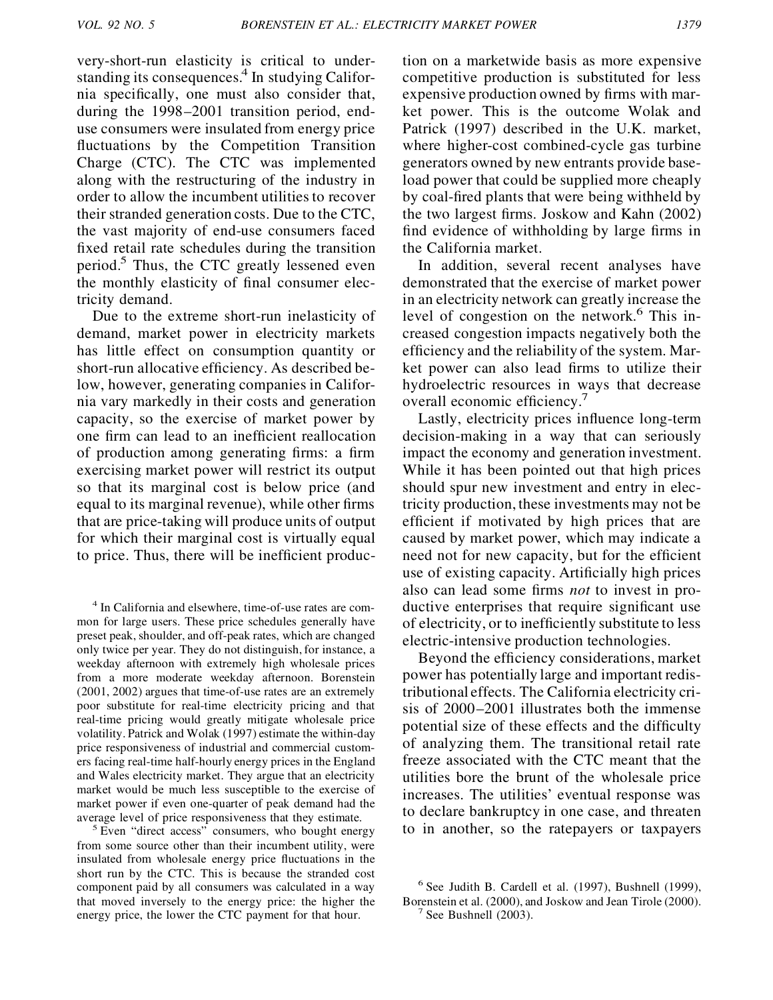very-short-run elasticity is critical to understanding its consequences.<sup>4</sup> In studying California specifically, one must also consider that, during the 1998–2001 transition period, enduse consumers were insulated from energy price fluctuations by the Competition Transition Charge (CTC). The CTC was implemented along with the restructuring of the industry in order to allow the incumbent utilities to recover their stranded generation costs. Due to the CTC, the vast majority of end-use consumers faced fixed retail rate schedules during the transition period.<sup>5</sup> Thus, the CTC greatly lessened even the monthly elasticity of final consumer electricity demand.

Due to the extreme short-run inelasticity of demand, market power in electricity markets has little effect on consumption quantity or short-run allocative efficiency. As described below, however, generating companies in California vary markedly in their costs and generation capacity, so the exercise of market power by one firm can lead to an inefficient reallocation of production among generating firms: a firm exercising market power will restrict its output so that its marginal cost is below price (and equal to its marginal revenue), while other firms that are price-taking will produce units of output for which their marginal cost is virtually equal to price. Thus, there will be inefficient produc-

<sup>4</sup> In California and elsewhere, time-of-use rates are common for large users. These price schedules generally have preset peak, shoulder, and off-peak rates, which are changed only twice per year. They do not distinguish, for instance, a weekday afternoon with extremely high wholesale prices from a more moderate weekday afternoon. Borenstein (2001, 2002) argues that time-of-use rates are an extremely poor substitute for real-time electricity pricing and that real-time pricing would greatly mitigate wholesale price volatility. Patrick and Wolak (1997) estimate the within-day price responsiveness of industrial and commercial customers facing real-time half-hourly energy prices in the England and Wales electricity market. They argue that an electricity market would be much less susceptible to the exercise of market power if even one-quarter of peak demand had the

average level of price responsiveness that they estimate. <sup>5</sup> Even "direct access" consumers, who bought energy from some source other than their incumbent utility, were insulated from wholesale energy price fluctuations in the short run by the CTC. This is because the stranded cost component paid by all consumers was calculated in a way that moved inversely to the energy price: the higher the energy price, the lower the CTC payment for that hour.

tion on a marketwide basis as more expensive competitive production is substituted for less expensive production owned by firms with market power. This is the outcome Wolak and Patrick (1997) described in the U.K. market, where higher-cost combined-cycle gas turbine generators owned by new entrants provide baseload power that could be supplied more cheaply by coal-fired plants that were being withheld by the two largest firms. Joskow and Kahn  $(2002)$ find evidence of withholding by large firms in the California market.

In addition, several recent analyses have demonstrated that the exercise of market power in an electricity network can greatly increase the level of congestion on the network.<sup>6</sup> This increased congestion impacts negatively both the efficiency and the reliability of the system. Market power can also lead firms to utilize their hydroelectric resources in ways that decrease overall economic efficiency.<sup>7</sup>

Lastly, electricity prices influence long-term decision-making in a way that can seriously impact the economy and generation investment. While it has been pointed out that high prices should spur new investment and entry in electricity production, these investments may not be efficient if motivated by high prices that are caused by market power, which may indicate a need not for new capacity, but for the efficient use of existing capacity. Artificially high prices also can lead some firms *not* to invest in productive enterprises that require significant use of electricity, or to inefficiently substitute to less electric-intensive production technologies.

Beyond the efficiency considerations, market power has potentially large and important redistributional effects. The California electricity crisis of 2000–2001 illustrates both the immense potential size of these effects and the difficulty of analyzing them. The transitional retail rate freeze associated with the CTC meant that the utilities bore the brunt of the wholesale price increases. The utilities' eventual response was to declare bankruptcy in one case, and threaten to in another, so the ratepayers or taxpayers

 $6$  See Judith B. Cardell et al. (1997), Bushnell (1999), Borenstein et al. (2000), and Joskow and Jean Tirole (2000).<br><sup>7</sup> See Bushnell (2003).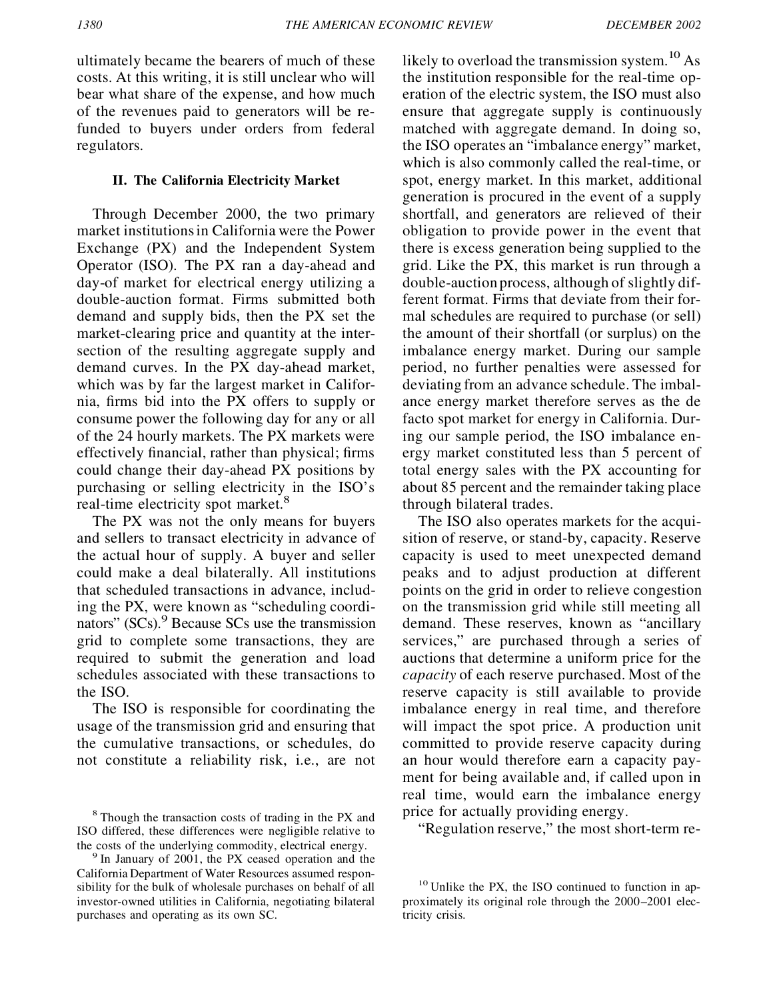ultimately became the bearers of much of these costs. At this writing, it is still unclear who will bear what share of the expense, and how much of the revenues paid to generators will be refunded to buyers under orders from federal regulators.

## **II. The California Electricity Market**

Through December 2000, the two primary market institutions in California were the Power Exchange (PX) and the Independent System Operator (ISO). The PX ran a day-ahead and day-of market for electrical energy utilizing a double-auction format. Firms submitted both demand and supply bids, then the PX set the market-clearing price and quantity at the intersection of the resulting aggregate supply and demand curves. In the PX day-ahead market, which was by far the largest market in California, firms bid into the PX offers to supply or consume power the following day for any or all of the 24 hourly markets. The PX markets were effectively financial, rather than physical; firms could change their day-ahead PX positions by purchasing or selling electricity in the ISO's real-time electricity spot market.<sup>8</sup>

The PX was not the only means for buyers and sellers to transact electricity in advance of the actual hour of supply. A buyer and seller could make a deal bilaterally. All institutions that scheduled transactions in advance, including the PX, were known as "scheduling coordinators"  $(SCs)$ . Because SCs use the transmission grid to complete some transactions, they are required to submit the generation and load schedules associated with these transactions to the ISO.

The ISO is responsible for coordinating the usage of the transmission grid and ensuring that the cumulative transactions, or schedules, do not constitute a reliability risk, i.e., are not likely to overload the transmission system.<sup>10</sup> As the institution responsible for the real-time operation of the electric system, the ISO must also ensure that aggregate supply is continuously matched with aggregate demand. In doing so, the ISO operates an "imbalance energy" market, which is also commonly called the real-time, or spot, energy market. In this market, additional generation is procured in the event of a supply shortfall, and generators are relieved of their obligation to provide power in the event that there is excess generation being supplied to the grid. Like the PX, this market is run through a double-auction process, although of slightly different format. Firms that deviate from their formal schedules are required to purchase (or sell) the amount of their shortfall (or surplus) on the imbalance energy market. During our sample period, no further penalties were assessed for deviating from an advance schedule. The imbalance energy market therefore serves as the de facto spot market for energy in California. During our sample period, the ISO imbalance energy market constituted less than 5 percent of total energy sales with the PX accounting for about 85 percent and the remainder taking place through bilateral trades.

The ISO also operates markets for the acquisition of reserve, or stand-by, capacity. Reserve capacity is used to meet unexpected demand peaks and to adjust production at different points on the grid in order to relieve congestion on the transmission grid while still meeting all demand. These reserves, known as "ancillary services," are purchased through a series of auctions that determine a uniform price for the *capacity* of each reserve purchased. Most of the reserve capacity is still available to provide imbalance energy in real time, and therefore will impact the spot price. A production unit committed to provide reserve capacity during an hour would therefore earn a capacity payment for being available and, if called upon in real time, would earn the imbalance energy price for actually providing energy.

"Regulation reserve," the most short-term re-

<sup>&</sup>lt;sup>8</sup> Though the transaction costs of trading in the PX and ISO differed, these differences were negligible relative to

the costs of the underlying commodity, electrical energy.<br><sup>9</sup> In January of 2001, the PX ceased operation and the California Department of Water Resources assumed responsibility for the bulk of wholesale purchases on behalf of all investor-owned utilities in California, negotiating bilateral purchases and operating as its own SC.

 $10$  Unlike the PX, the ISO continued to function in approximately its original role through the 2000–2001 electricity crisis.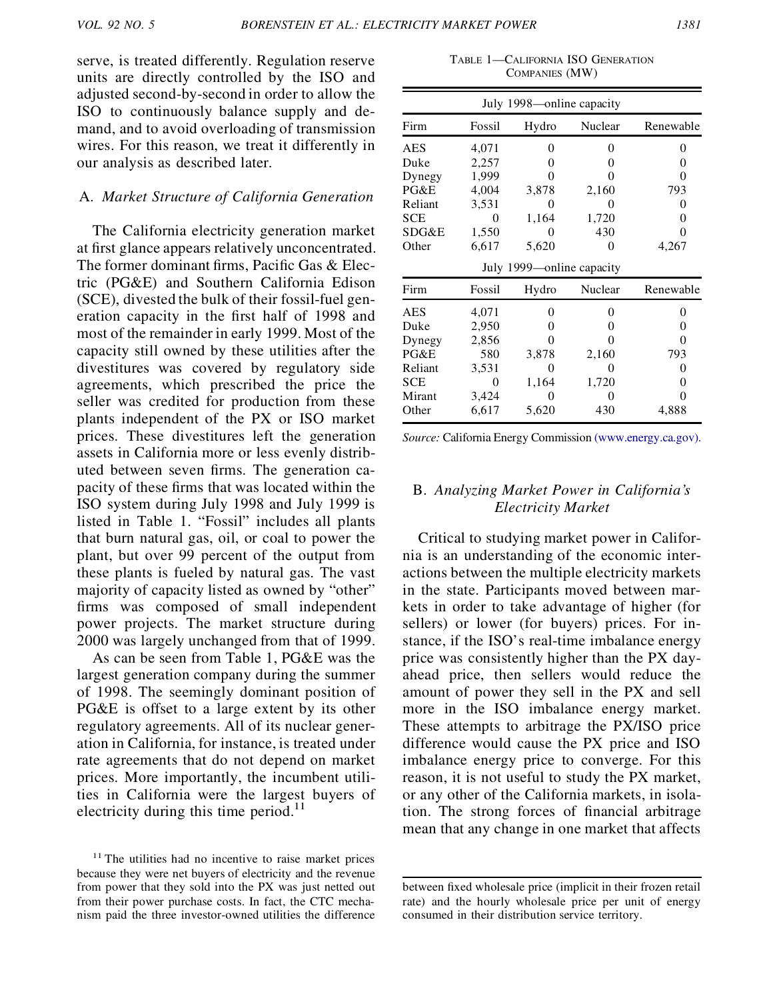serve, is treated differently. Regulation reserve units are directly controlled by the ISO and adjusted second-by-second in order to allow the ISO to continuously balance supply and demand, and to avoid overloading of transmission wires. For this reason, we treat it differently in our analysis as described later.

## A. *Market Structure of California Generation*

The California electricity generation market at first glance appears relatively unconcentrated. The former dominant firms, Pacific Gas & Electric (PG&E) and Southern California Edison (SCE), divested the bulk of their fossil-fuel generation capacity in the first half of 1998 and most of the remainder in early 1999. Most of the capacity still owned by these utilities after the divestitures was covered by regulatory side agreements, which prescribed the price the seller was credited for production from these plants independent of the PX or ISO market prices. These divestitures left the generation assets in California more or less evenly distributed between seven firms. The generation capacity of these firms that was located within the ISO system during July 1998 and July 1999 is listed in Table 1. "Fossil" includes all plants that burn natural gas, oil, or coal to power the plant, but over 99 percent of the output from these plants is fueled by natural gas. The vast majority of capacity listed as owned by "other" firms was composed of small independent power projects. The market structure during 2000 was largely unchanged from that of 1999.

As can be seen from Table 1, PG&E was the largest generation company during the summer of 1998. The seemingly dominant position of PG&E is offset to a large extent by its other regulatory agreements. All of its nuclear generation in California, for instance, is treated under rate agreements that do not depend on market prices. More importantly, the incumbent utilities in California were the largest buyers of electricity during this time period.<sup>11</sup>

| July 1998—online capacity |        |                   |                   |           |  |  |  |  |
|---------------------------|--------|-------------------|-------------------|-----------|--|--|--|--|
| Firm                      | Fossil | Hydro             | Nuclear           | Renewable |  |  |  |  |
| AES                       | 4,071  | 0                 | 0                 | 0         |  |  |  |  |
| Duke                      | 2,257  | 0                 | $\mathbf{\Omega}$ | 0         |  |  |  |  |
| Dynegy                    | 1,999  | 0                 | 0                 | 0         |  |  |  |  |
| PG&E                      | 4,004  | 3,878             | 2,160             | 793       |  |  |  |  |
| Reliant                   | 3,531  | $\mathbf{\Omega}$ |                   | 0         |  |  |  |  |
| <b>SCE</b>                | 0      | 1,164             | 1,720             | 0         |  |  |  |  |
| SDG&E                     | 1,550  | 0                 | 430               | 0         |  |  |  |  |
| Other                     | 6,617  | 5,620             | 0                 | 4,267     |  |  |  |  |
| July 1999—online capacity |        |                   |                   |           |  |  |  |  |
| Firm                      | Fossil | Hydro             | Nuclear           | Renewable |  |  |  |  |
| AES                       | 4,071  | 0                 | 0                 | 0         |  |  |  |  |
| Duke                      | 2,950  | 0                 | $\mathbf{\Omega}$ | 0         |  |  |  |  |
| Dynegy                    | 2,856  | 0                 | $\mathbf{\Omega}$ | 0         |  |  |  |  |
| PG&E                      | 580    | 3,878             | 2,160             | 793       |  |  |  |  |
| Reliant                   | 3,531  |                   |                   | 0         |  |  |  |  |
| <b>SCE</b>                | 0      | 1,164             | 1,720             | 0         |  |  |  |  |
| Mirant                    | 3,424  |                   |                   |           |  |  |  |  |
| Other                     | 6,617  | 5,620             | 430               | 4,888     |  |  |  |  |

TABLE 1—CALIFORNIA ISO GENERATION COMPANIES (MW)

*Source:* California Energy Commission (www.energy.ca.gov).

# B. *Analyzing Market Power in California's Electricity Market*

Critical to studying market power in California is an understanding of the economic interactions between the multiple electricity markets in the state. Participants moved between markets in order to take advantage of higher (for sellers) or lower (for buyers) prices. For instance, if the ISO's real-time imbalance energy price was consistently higher than the PX dayahead price, then sellers would reduce the amount of power they sell in the PX and sell more in the ISO imbalance energy market. These attempts to arbitrage the PX/ISO price difference would cause the PX price and ISO imbalance energy price to converge. For this reason, it is not useful to study the PX market, or any other of the California markets, in isolation. The strong forces of financial arbitrage mean that any change in one market that affects

 $11$  The utilities had no incentive to raise market prices because they were net buyers of electricity and the revenue from power that they sold into the PX was just netted out from their power purchase costs. In fact, the CTC mechanism paid the three investor-owned utilities the difference

between fixed wholesale price (implicit in their frozen retail rate) and the hourly wholesale price per unit of energy consumed in their distribution service territory.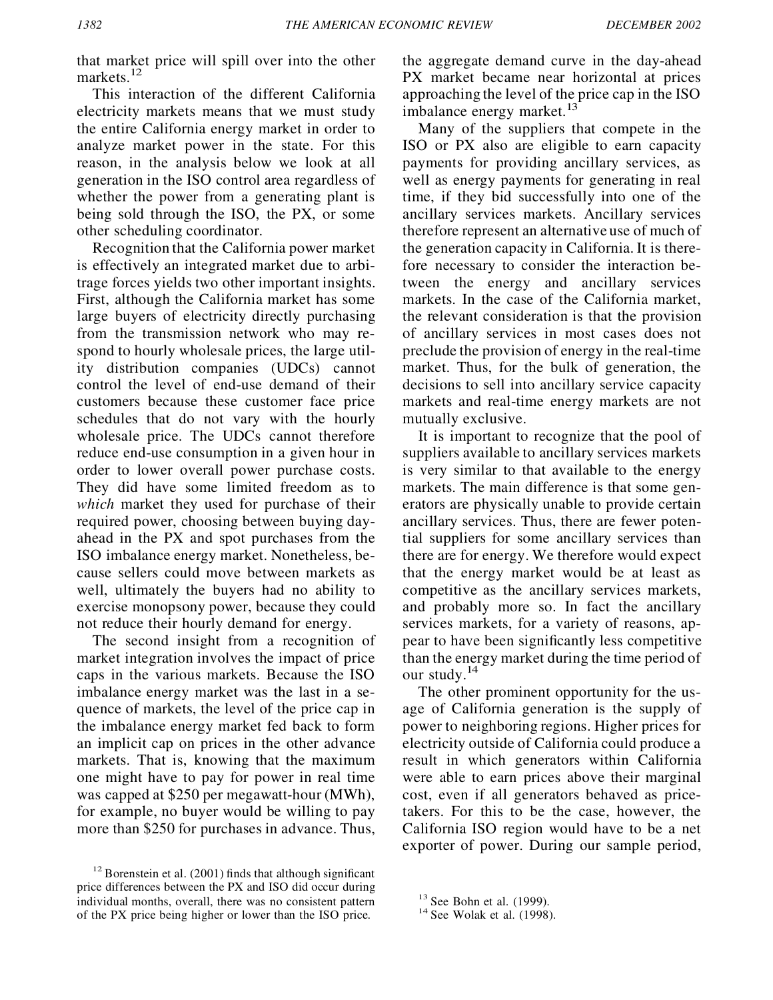that market price will spill over into the other markets.<sup>12</sup>

This interaction of the different California electricity markets means that we must study the entire California energy market in order to analyze market power in the state. For this reason, in the analysis below we look at all generation in the ISO control area regardless of whether the power from a generating plant is being sold through the ISO, the PX, or some other scheduling coordinator.

Recognition that the California power market is effectively an integrated market due to arbitrage forces yields two other important insights. First, although the California market has some large buyers of electricity directly purchasing from the transmission network who may respond to hourly wholesale prices, the large utility distribution companies (UDCs) cannot control the level of end-use demand of their customers because these customer face price schedules that do not vary with the hourly wholesale price. The UDCs cannot therefore reduce end-use consumption in a given hour in order to lower overall power purchase costs. They did have some limited freedom as to *which* market they used for purchase of their required power, choosing between buying dayahead in the PX and spot purchases from the ISO imbalance energy market. Nonetheless, because sellers could move between markets as well, ultimately the buyers had no ability to exercise monopsony power, because they could not reduce their hourly demand for energy.

The second insight from a recognition of market integration involves the impact of price caps in the various markets. Because the ISO imbalance energy market was the last in a sequence of markets, the level of the price cap in the imbalance energy market fed back to form an implicit cap on prices in the other advance markets. That is, knowing that the maximum one might have to pay for power in real time was capped at \$250 per megawatt-hour (MWh), for example, no buyer would be willing to pay more than \$250 for purchases in advance. Thus,

 $12$  Borenstein et al. (2001) finds that although significant price differences between the PX and ISO did occur during individual months, overall, there was no consistent pattern of the PX price being higher or lower than the ISO price.

the aggregate demand curve in the day-ahead PX market became near horizontal at prices approaching the level of the price cap in the ISO imbalance energy market.<sup>13</sup>

Many of the suppliers that compete in the ISO or PX also are eligible to earn capacity payments for providing ancillary services, as well as energy payments for generating in real time, if they bid successfully into one of the ancillary services markets. Ancillary services therefore represent an alternative use of much of the generation capacity in California. It is therefore necessary to consider the interaction between the energy and ancillary services markets. In the case of the California market, the relevant consideration is that the provision of ancillary services in most cases does not preclude the provision of energy in the real-time market. Thus, for the bulk of generation, the decisions to sell into ancillary service capacity markets and real-time energy markets are not mutually exclusive.

It is important to recognize that the pool of suppliers available to ancillary services markets is very similar to that available to the energy markets. The main difference is that some generators are physically unable to provide certain ancillary services. Thus, there are fewer potential suppliers for some ancillary services than there are for energy. We therefore would expect that the energy market would be at least as competitive as the ancillary services markets, and probably more so. In fact the ancillary services markets, for a variety of reasons, appear to have been significantly less competitive than the energy market during the time period of our study.<sup>14</sup>

The other prominent opportunity for the usage of California generation is the supply of power to neighboring regions. Higher prices for electricity outside of California could produce a result in which generators within California were able to earn prices above their marginal cost, even if all generators behaved as pricetakers. For this to be the case, however, the California ISO region would have to be a net exporter of power. During our sample period,

<sup>&</sup>lt;sup>13</sup> See Bohn et al. (1999).<br><sup>14</sup> See Wolak et al. (1998).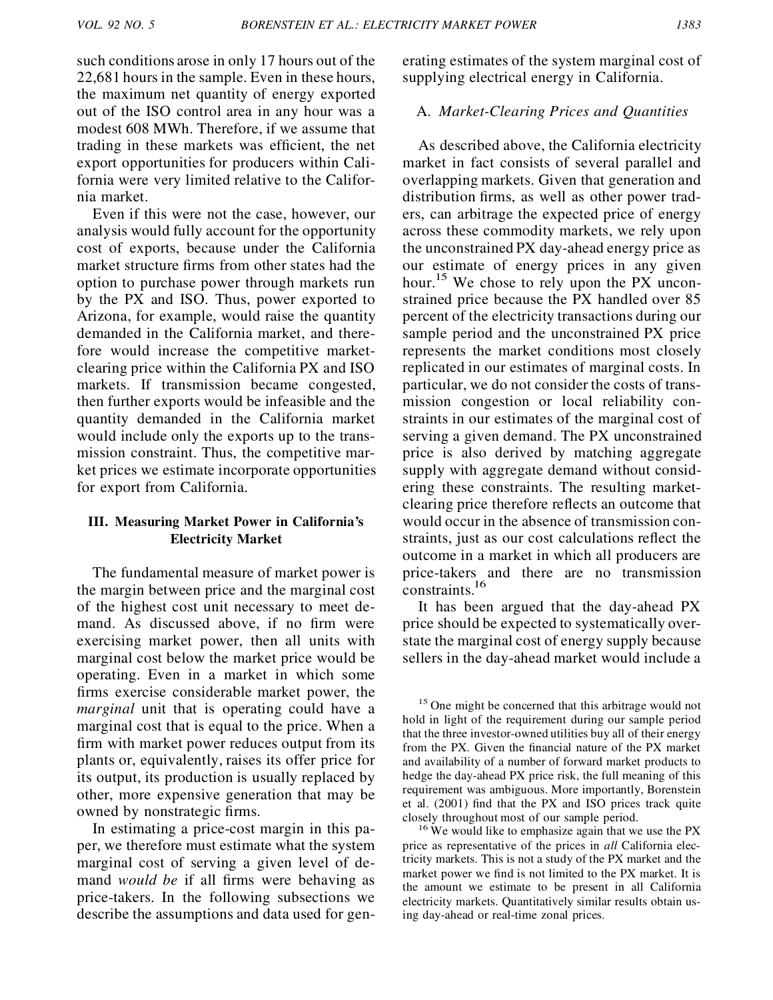such conditions arose in only 17 hours out of the 22,681 hours in the sample. Even in these hours, the maximum net quantity of energy exported out of the ISO control area in any hour was a modest 608 MWh. Therefore, if we assume that trading in these markets was efficient, the net export opportunities for producers within California were very limited relative to the California market.

Even if this were not the case, however, our analysis would fully account for the opportunity cost of exports, because under the California market structure firms from other states had the option to purchase power through markets run by the PX and ISO. Thus, power exported to Arizona, for example, would raise the quantity demanded in the California market, and therefore would increase the competitive marketclearing price within the California PX and ISO markets. If transmission became congested, then further exports would be infeasible and the quantity demanded in the California market would include only the exports up to the transmission constraint. Thus, the competitive market prices we estimate incorporate opportunities for export from California.

## **III. Measuring Market Power in California's Electricity Market**

The fundamental measure of market power is the margin between price and the marginal cost of the highest cost unit necessary to meet demand. As discussed above, if no firm were exercising market power, then all units with marginal cost below the market price would be operating. Even in a market in which some firms exercise considerable market power, the *marginal* unit that is operating could have a marginal cost that is equal to the price. When a firm with market power reduces output from its plants or, equivalently, raises its offer price for its output, its production is usually replaced by other, more expensive generation that may be owned by nonstrategic firms.

In estimating a price-cost margin in this paper, we therefore must estimate what the system marginal cost of serving a given level of demand *would be* if all firms were behaving as price-takers. In the following subsections we describe the assumptions and data used for generating estimates of the system marginal cost of supplying electrical energy in California.

# A. *Market-Clearing Prices and Quantities*

As described above, the California electricity market in fact consists of several parallel and overlapping markets. Given that generation and distribution firms, as well as other power traders, can arbitrage the expected price of energy across these commodity markets, we rely upon the unconstrained PX day-ahead energy price as our estimate of energy prices in any given hour.<sup>15</sup> We chose to rely upon the PX unconstrained price because the PX handled over 85 percent of the electricity transactions during our sample period and the unconstrained PX price represents the market conditions most closely replicated in our estimates of marginal costs. In particular, we do not consider the costs of transmission congestion or local reliability constraints in our estimates of the marginal cost of serving a given demand. The PX unconstrained price is also derived by matching aggregate supply with aggregate demand without considering these constraints. The resulting marketclearing price therefore reflects an outcome that would occur in the absence of transmission constraints, just as our cost calculations reflect the outcome in a market in which all producers are price-takers and there are no transmission constraints.16

It has been argued that the day-ahead PX price should be expected to systematically overstate the marginal cost of energy supply because sellers in the day-ahead market would include a

price as representative of the prices in *all* California electricity markets. This is not a study of the PX market and the market power we find is not limited to the PX market. It is the amount we estimate to be present in all California electricity markets. Quantitatively similar results obtain using day-ahead or real-time zonal prices.

<sup>&</sup>lt;sup>15</sup> One might be concerned that this arbitrage would not hold in light of the requirement during our sample period that the three investor-owned utilities buy all of their energy from the PX. Given the financial nature of the PX market and availability of a number of forward market products to hedge the day-ahead PX price risk, the full meaning of this requirement was ambiguous. More importantly, Borenstein et al. (2001) find that the PX and ISO prices track quite closely throughout most of our sample period. <sup>16</sup> We would like to emphasize again that we use the PX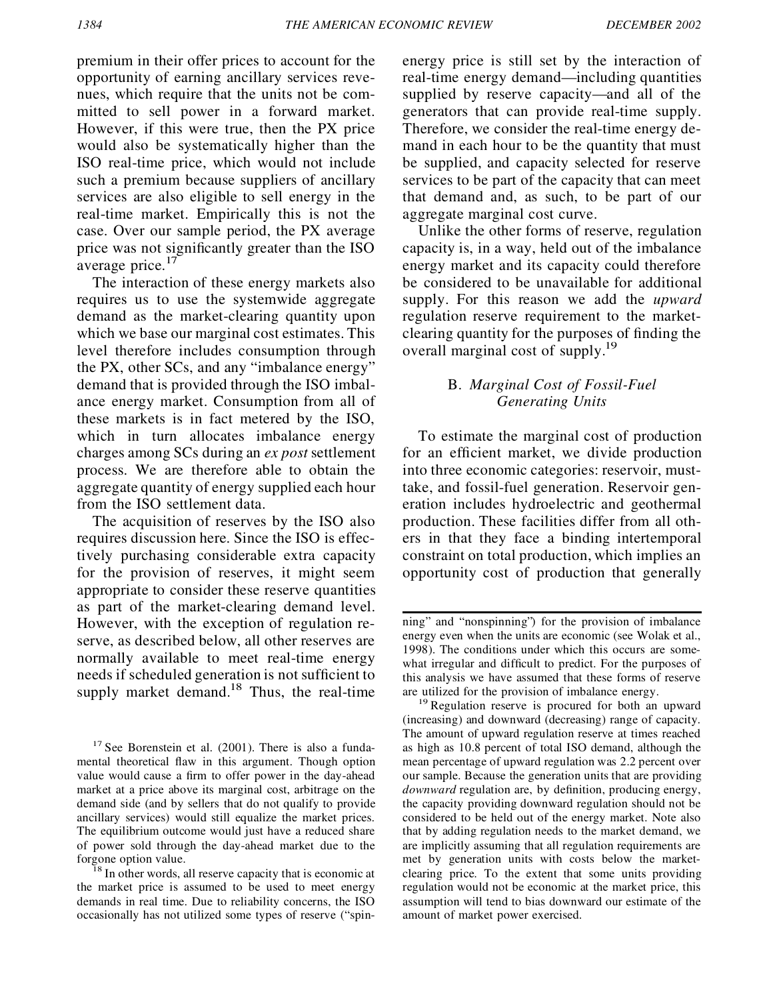premium in their offer prices to account for the opportunity of earning ancillary services revenues, which require that the units not be committed to sell power in a forward market. However, if this were true, then the PX price would also be systematically higher than the ISO real-time price, which would not include such a premium because suppliers of ancillary services are also eligible to sell energy in the real-time market. Empirically this is not the case. Over our sample period, the PX average price was not significantly greater than the ISO average price. $^{17}$ 

The interaction of these energy markets also requires us to use the systemwide aggregate demand as the market-clearing quantity upon which we base our marginal cost estimates. This level therefore includes consumption through the PX, other SCs, and any "imbalance energy" demand that is provided through the ISO imbalance energy market. Consumption from all of these markets is in fact metered by the ISO, which in turn allocates imbalance energy charges among SCs during an *ex post* settlement process. We are therefore able to obtain the aggregate quantity of energy supplied each hour from the ISO settlement data.

The acquisition of reserves by the ISO also requires discussion here. Since the ISO is effectively purchasing considerable extra capacity for the provision of reserves, it might seem appropriate to consider these reserve quantities as part of the market-clearing demand level. However, with the exception of regulation reserve, as described below, all other reserves are normally available to meet real-time energy needs if scheduled generation is not sufficient to supply market demand.<sup>18</sup> Thus, the real-time energy price is still set by the interaction of real-time energy demand—including quantities supplied by reserve capacity—and all of the generators that can provide real-time supply. Therefore, we consider the real-time energy demand in each hour to be the quantity that must be supplied, and capacity selected for reserve services to be part of the capacity that can meet that demand and, as such, to be part of our aggregate marginal cost curve.

Unlike the other forms of reserve, regulation capacity is, in a way, held out of the imbalance energy market and its capacity could therefore be considered to be unavailable for additional supply. For this reason we add the *upward* regulation reserve requirement to the marketclearing quantity for the purposes of finding the overall marginal cost of supply.19

# B. *Marginal Cost of Fossil-Fuel Generating Units*

To estimate the marginal cost of production for an efficient market, we divide production into three economic categories: reservoir, musttake, and fossil-fuel generation. Reservoir generation includes hydroelectric and geothermal production. These facilities differ from all others in that they face a binding intertemporal constraint on total production, which implies an opportunity cost of production that generally

 $17$  See Borenstein et al. (2001). There is also a fundamental theoretical flaw in this argument. Though option value would cause a firm to offer power in the day-ahead market at a price above its marginal cost, arbitrage on the demand side (and by sellers that do not qualify to provide ancillary services) would still equalize the market prices. The equilibrium outcome would just have a reduced share of power sold through the day-ahead market due to the

forgone option value.<br><sup>18</sup> In other words, all reserve capacity that is economic at the market price is assumed to be used to meet energy demands in real time. Due to reliability concerns, the ISO occasionally has not utilized some types of reserve ("spin-

ning" and "nonspinning") for the provision of imbalance energy even when the units are economic (see Wolak et al., 1998). The conditions under which this occurs are somewhat irregular and difficult to predict. For the purposes of this analysis we have assumed that these forms of reserve are utilized for the provision of imbalance energy. <sup>19</sup> Regulation reserve is procured for both an upward

<sup>(</sup>increasing) and downward (decreasing) range of capacity. The amount of upward regulation reserve at times reached as high as 10.8 percent of total ISO demand, although the mean percentage of upward regulation was 2.2 percent over our sample. Because the generation units that are providing *downward* regulation are, by definition, producing energy, the capacity providing downward regulation should not be considered to be held out of the energy market. Note also that by adding regulation needs to the market demand, we are implicitly assuming that all regulation requirements are met by generation units with costs below the marketclearing price. To the extent that some units providing regulation would not be economic at the market price, this assumption will tend to bias downward our estimate of the amount of market power exercised.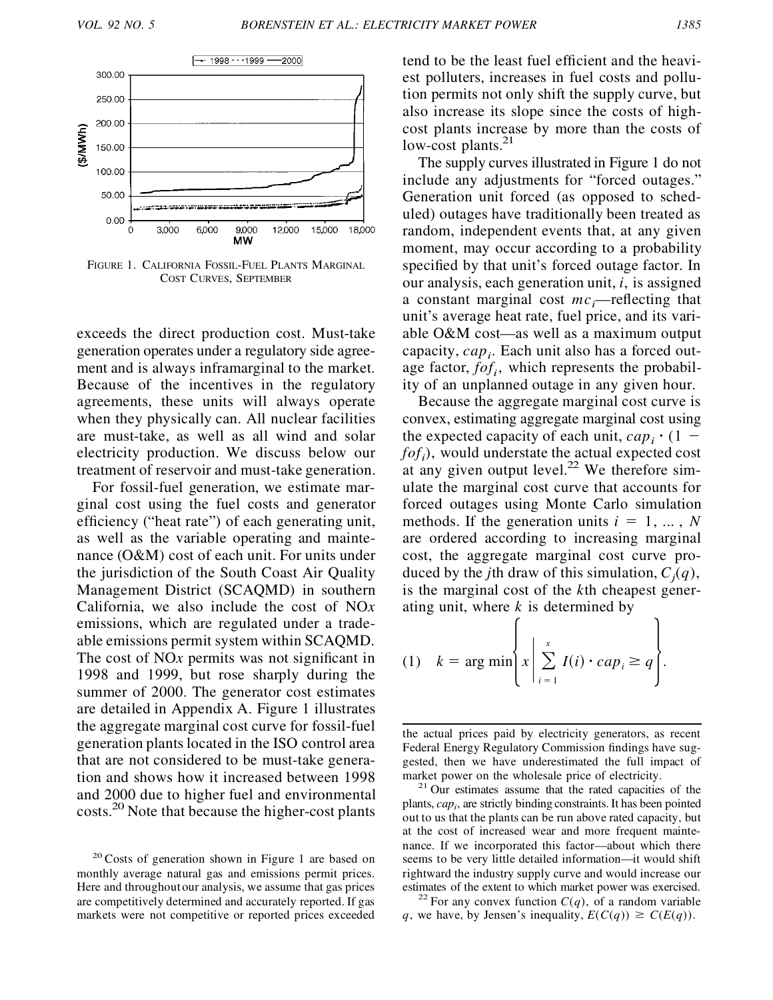

FIGURE 1. CALIFORNIA FOSSIL-FUEL PLANTS MARGINAL COST CURVES, SEPTEMBER

exceeds the direct production cost. Must-take generation operates under a regulatory side agreement and is always inframarginal to the market. Because of the incentives in the regulatory agreements, these units will always operate when they physically can. All nuclear facilities are must-take, as well as all wind and solar electricity production. We discuss below our treatment of reservoir and must-take generation.

For fossil-fuel generation, we estimate marginal cost using the fuel costs and generator efficiency ("heat rate") of each generating unit, as well as the variable operating and maintenance (O&M) cost of each unit. For units under the jurisdiction of the South Coast Air Quality Management District (SCAQMD) in southern California, we also include the cost of NO*x* emissions, which are regulated under a tradeable emissions permit system within SCAQMD. The cost of  $NOx$  permits was not significant in 1998 and 1999, but rose sharply during the summer of 2000. The generator cost estimates are detailed in Appendix A. Figure 1 illustrates the aggregate marginal cost curve for fossil-fuel generation plants located in the ISO control area that are not considered to be must-take generation and shows how it increased between 1998 and 2000 due to higher fuel and environmental costs.20 Note that because the higher-cost plants

tend to be the least fuel efficient and the heaviest polluters, increases in fuel costs and pollution permits not only shift the supply curve, but also increase its slope since the costs of highcost plants increase by more than the costs of low-cost plants. $^{21}$ 

The supply curves illustrated in Figure 1 do not include any adjustments for "forced outages." Generation unit forced (as opposed to scheduled) outages have traditionally been treated as random, independent events that, at any given moment, may occur according to a probability specified by that unit's forced outage factor. In our analysis, each generation unit, *i*, is assigned a constant marginal cost  $mc<sub>i</sub>$ —reflecting that unit's average heat rate, fuel price, and its variable O&M cost—as well as a maximum output capacity, *capi* . Each unit also has a forced outage factor,  $f \circ f_i$ , which represents the probability of an unplanned outage in any given hour.

Because the aggregate marginal cost curve is convex, estimating aggregate marginal cost using the expected capacity of each unit,  $cap_i \cdot (1$  $f \circ f_i$ ), would understate the actual expected cost at any given output level. $^{22}$  We therefore simulate the marginal cost curve that accounts for forced outages using Monte Carlo simulation methods. If the generation units  $i = 1, ..., N$ are ordered according to increasing marginal cost, the aggregate marginal cost curve produced by the *j*th draw of this simulation,  $C_j(q)$ , is the marginal cost of the *k*th cheapest generating unit, where *k* is determined by

(1) 
$$
k = \arg \min \left\{ x \middle| \sum_{i=1}^{x} I(i) \cdot cap_i \geq q \right\}.
$$

plants, *cap<sub>i</sub>*, are strictly binding constraints. It has been pointed out to us that the plants can be run above rated capacity, but at the cost of increased wear and more frequent maintenance. If we incorporated this factor—about which there seems to be very little detailed information—it would shift rightward the industry supply curve and would increase our estimates of the extent to which market power was exercised. <sup>22</sup> For any convex function  $C(q)$ , of a random variable

*q*, we have, by Jensen's inequality,  $E(C(q)) \geq C(E(q))$ .

 $20$  Costs of generation shown in Figure 1 are based on monthly average natural gas and emissions permit prices. Here and throughout our analysis, we assume that gas prices are competitively determined and accurately reported. If gas markets were not competitive or reported prices exceeded

the actual prices paid by electricity generators, as recent Federal Energy Regulatory Commission findings have suggested, then we have underestimated the full impact of market power on the wholesale price of electricity.<br><sup>21</sup> Our estimates assume that the rated capacities of the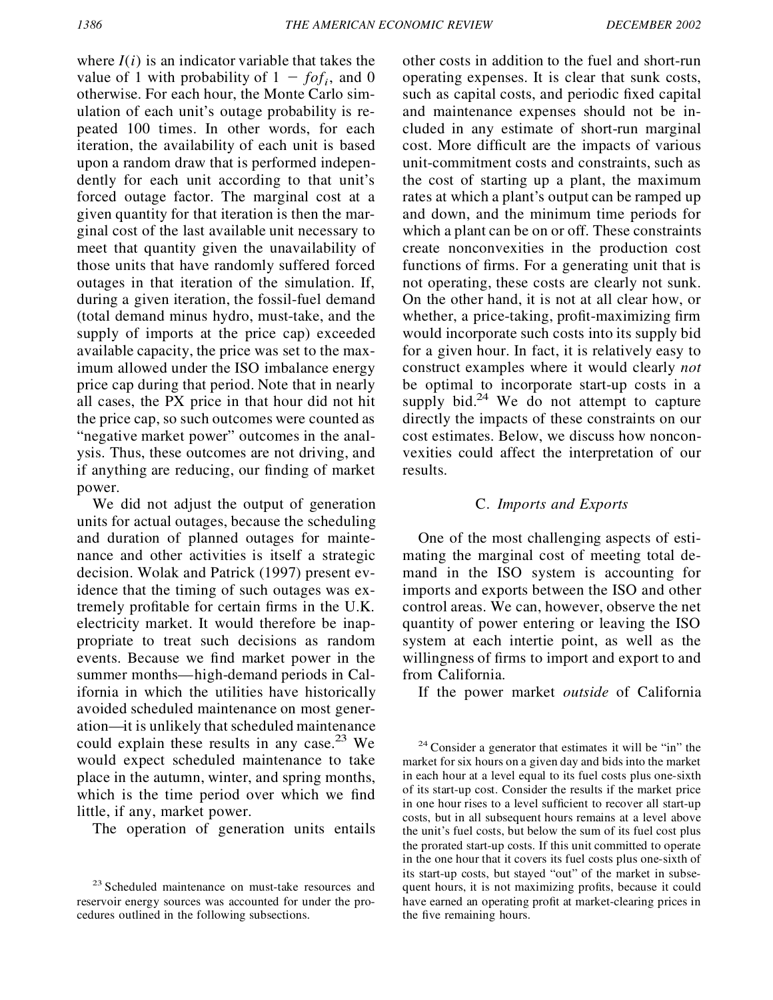where  $I(i)$  is an indicator variable that takes the value of 1 with probability of  $1 - fof_i$ , and 0 otherwise. For each hour, the Monte Carlo simulation of each unit's outage probability is repeated 100 times. In other words, for each iteration, the availability of each unit is based upon a random draw that is performed independently for each unit according to that unit's forced outage factor. The marginal cost at a given quantity for that iteration is then the marginal cost of the last available unit necessary to meet that quantity given the unavailability of those units that have randomly suffered forced outages in that iteration of the simulation. If, during a given iteration, the fossil-fuel demand (total demand minus hydro, must-take, and the supply of imports at the price cap) exceeded available capacity, the price was set to the maximum allowed under the ISO imbalance energy price cap during that period. Note that in nearly all cases, the PX price in that hour did not hit the price cap, so such outcomes were counted as "negative market power" outcomes in the analysis. Thus, these outcomes are not driving, and if anything are reducing, our finding of market power.

We did not adjust the output of generation units for actual outages, because the scheduling and duration of planned outages for maintenance and other activities is itself a strategic decision. Wolak and Patrick (1997) present evidence that the timing of such outages was extremely profitable for certain firms in the U.K. electricity market. It would therefore be inappropriate to treat such decisions as random events. Because we find market power in the summer months—high-demand periods in California in which the utilities have historically avoided scheduled maintenance on most generation—it is unlikely that scheduled maintenance could explain these results in any case.<sup>23</sup> We would expect scheduled maintenance to take place in the autumn, winter, and spring months, which is the time period over which we find little, if any, market power.

The operation of generation units entails

other costs in addition to the fuel and short-run operating expenses. It is clear that sunk costs, such as capital costs, and periodic fixed capital and maintenance expenses should not be included in any estimate of short-run marginal cost. More difficult are the impacts of various unit-commitment costs and constraints, such as the cost of starting up a plant, the maximum rates at which a plant's output can be ramped up and down, and the minimum time periods for which a plant can be on or off. These constraints create nonconvexities in the production cost functions of firms. For a generating unit that is not operating, these costs are clearly not sunk. On the other hand, it is not at all clear how, or whether, a price-taking, profit-maximizing firm would incorporate such costs into its supply bid for a given hour. In fact, it is relatively easy to construct examples where it would clearly *not* be optimal to incorporate start-up costs in a supply bid. $^{24}$  We do not attempt to capture directly the impacts of these constraints on our cost estimates. Below, we discuss how nonconvexities could affect the interpretation of our results.

## C. *Imports and Exports*

One of the most challenging aspects of estimating the marginal cost of meeting total demand in the ISO system is accounting for imports and exports between the ISO and other control areas. We can, however, observe the net quantity of power entering or leaving the ISO system at each intertie point, as well as the willingness of firms to import and export to and from California.

If the power market *outside* of California

<sup>&</sup>lt;sup>23</sup> Scheduled maintenance on must-take resources and reservoir energy sources was accounted for under the procedures outlined in the following subsections.

 $24$  Consider a generator that estimates it will be "in" the market for six hours on a given day and bids into the market in each hour at a level equal to its fuel costs plus one-sixth of its start-up cost. Consider the results if the market price in one hour rises to a level sufficient to recover all start-up costs, but in all subsequent hours remains at a level above the unit's fuel costs, but below the sum of its fuel cost plus the prorated start-up costs. If this unit committed to operate in the one hour that it covers its fuel costs plus one-sixth of its start-up costs, but stayed "out" of the market in subsequent hours, it is not maximizing profits, because it could have earned an operating profit at market-clearing prices in the five remaining hours.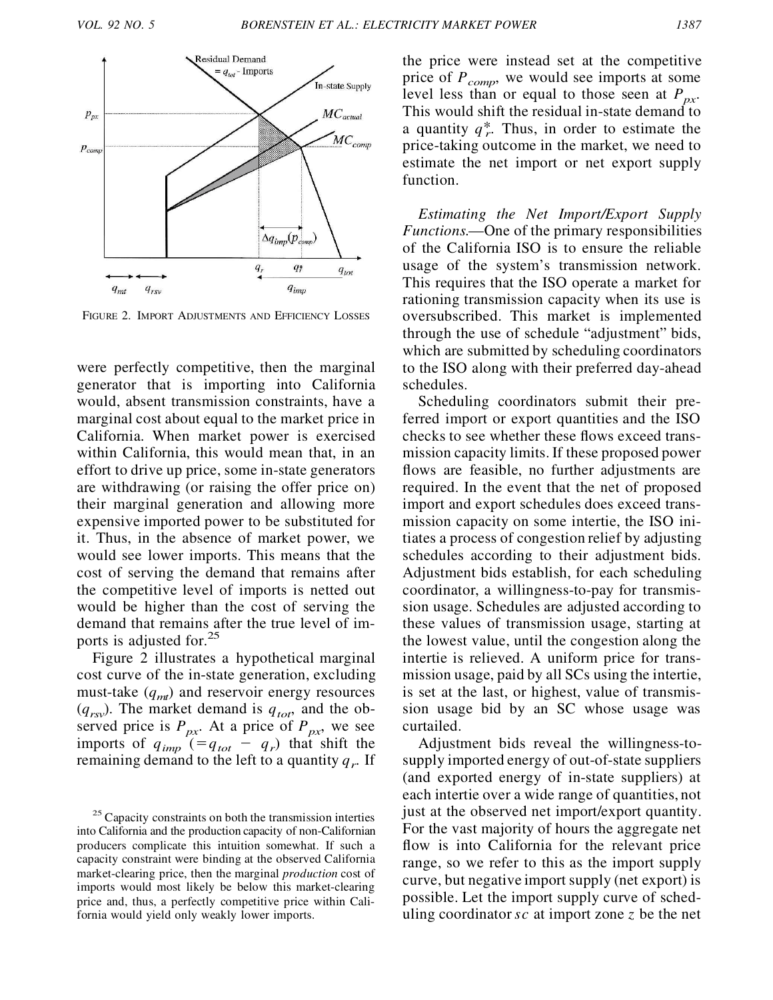



FIGURE 2. IMPORT ADJUSTMENTS AND EFFICIENCY LOSSES

were perfectly competitive, then the marginal generator that is importing into California would, absent transmission constraints, have a marginal cost about equal to the market price in California. When market power is exercised within California, this would mean that, in an effort to drive up price, some in-state generators are withdrawing (or raising the offer price on) their marginal generation and allowing more expensive imported power to be substituted for it. Thus, in the absence of market power, we would see lower imports. This means that the cost of serving the demand that remains after the competitive level of imports is netted out would be higher than the cost of serving the demand that remains after the true level of imports is adjusted for.<sup>25</sup>

Figure 2 illustrates a hypothetical marginal cost curve of the in-state generation, excluding must-take  $(q_{\text{int}})$  and reservoir energy resources  $(q_{rsv})$ . The market demand is  $q_{tot}$ , and the observed price is  $P_{px}$ . At a price of  $P_{px}$ , we see imports of  $q_{imp}$  (= $q_{tot}$  –  $q_r$ ) that shift the remaining demand to the left to a quantity  $q_r$ . If

the price were instead set at the competitive price of  $P_{comp}$ , we would see imports at some level less than or equal to those seen at  $P_{px}$ . This would shift the residual in-state demand to a quantity  $q_r^*$ . Thus, in order to estimate the price-taking outcome in the market, we need to estimate the net import or net export supply function.

*Estimating the Net Import/Export Supply Functions.*—One of the primary responsibilities of the California ISO is to ensure the reliable usage of the system's transmission network. This requires that the ISO operate a market for rationing transmission capacity when its use is oversubscribed. This market is implemented through the use of schedule "adjustment" bids, which are submitted by scheduling coordinators to the ISO along with their preferred day-ahead schedules.

Scheduling coordinators submit their preferred import or export quantities and the ISO checks to see whether these flows exceed transmission capacity limits. If these proposed power flows are feasible, no further adjustments are required. In the event that the net of proposed import and export schedules does exceed transmission capacity on some intertie, the ISO initiates a process of congestion relief by adjusting schedules according to their adjustment bids. Adjustment bids establish, for each scheduling coordinator, a willingness-to-pay for transmission usage. Schedules are adjusted according to these values of transmission usage, starting at the lowest value, until the congestion along the intertie is relieved. A uniform price for transmission usage, paid by all SCs using the intertie, is set at the last, or highest, value of transmission usage bid by an SC whose usage was curtailed.

Adjustment bids reveal the willingness-tosupply imported energy of out-of-state suppliers (and exported energy of in-state suppliers) at each intertie over a wide range of quantities, not just at the observed net import/export quantity. For the vast majority of hours the aggregate net flow is into California for the relevant price range, so we refer to this as the import supply curve, but negative import supply (net export) is possible. Let the import supply curve of scheduling coordinator *sc* at import zone *z* be the net

<sup>&</sup>lt;sup>25</sup> Capacity constraints on both the transmission interties into California and the production capacity of non-Californian producers complicate this intuition somewhat. If such a capacity constraint were binding at the observed California market-clearing price, then the marginal *production* cost of imports would most likely be below this market-clearing price and, thus, a perfectly competitive price within California would yield only weakly lower imports.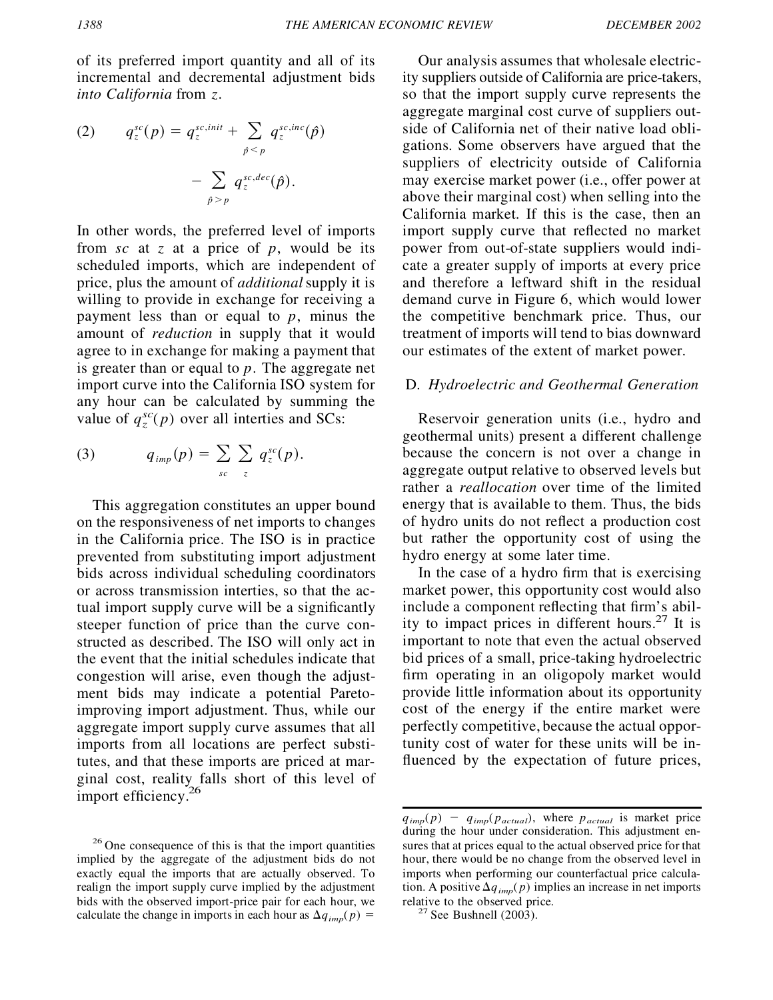of its preferred import quantity and all of its incremental and decremental adjustment bids *into California* from *z*.

(2) 
$$
q_z^{sc}(p) = q_z^{sc,init} + \sum_{\hat{p} < p} q_z^{sc,inc}(\hat{p}) - \sum_{\hat{p} > p} q_z^{sc,dec}(\hat{p}).
$$

In other words, the preferred level of imports from *sc* at *z* at a price of *p*, would be its scheduled imports, which are independent of price, plus the amount of *additional*supply it is willing to provide in exchange for receiving a payment less than or equal to *p*, minus the amount of *reduction* in supply that it would agree to in exchange for making a payment that is greater than or equal to *p*. The aggregate net import curve into the California ISO system for any hour can be calculated by summing the value of  $q_z^{sc}(p)$  over all interties and SCs:

(3) 
$$
q_{\text{imp}}(p) = \sum_{sc} \sum_{z} q_{z}^{sc}(p).
$$

This aggregation constitutes an upper bound on the responsiveness of net imports to changes in the California price. The ISO is in practice prevented from substituting import adjustment bids across individual scheduling coordinators or across transmission interties, so that the actual import supply curve will be a significantly steeper function of price than the curve constructed as described. The ISO will only act in the event that the initial schedules indicate that congestion will arise, even though the adjustment bids may indicate a potential Paretoimproving import adjustment. Thus, while our aggregate import supply curve assumes that all imports from all locations are perfect substitutes, and that these imports are priced at marginal cost, reality falls short of this level of import efficiency. $26$ 

Our analysis assumes that wholesale electricity suppliers outside of California are price-takers, so that the import supply curve represents the aggregate marginal cost curve of suppliers outside of California net of their native load obligations. Some observers have argued that the suppliers of electricity outside of California may exercise market power (i.e., offer power at above their marginal cost) when selling into the California market. If this is the case, then an import supply curve that reflected no market power from out-of-state suppliers would indicate a greater supply of imports at every price and therefore a leftward shift in the residual demand curve in Figure 6, which would lower the competitive benchmark price. Thus, our treatment of imports will tend to bias downward our estimates of the extent of market power.

#### D. *Hydroelectric and Geothermal Generation*

Reservoir generation units (i.e., hydro and geothermal units) present a different challenge because the concern is not over a change in aggregate output relative to observed levels but rather a *reallocation* over time of the limited energy that is available to them. Thus, the bids of hydro units do not reflect a production cost but rather the opportunity cost of using the hydro energy at some later time.

In the case of a hydro firm that is exercising market power, this opportunity cost would also include a component reflecting that firm's ability to impact prices in different hours.27 It is important to note that even the actual observed bid prices of a small, price-taking hydroelectric firm operating in an oligopoly market would provide little information about its opportunity cost of the energy if the entire market were perfectly competitive, because the actual opportunity cost of water for these units will be in fluenced by the expectation of future prices,

<sup>&</sup>lt;sup>26</sup> One consequence of this is that the import quantities implied by the aggregate of the adjustment bids do not exactly equal the imports that are actually observed. To realign the import supply curve implied by the adjustment bids with the observed import-price pair for each hour, we calculate the change in imports in each hour as  $\Delta q_{imp}(p) =$ 

 $q_{imp}(p) - q_{imp}(p_{actual})$ , where  $p_{actual}$  is market price during the hour under consideration. This adjustment ensures that at prices equal to the actual observed price for that hour, there would be no change from the observed level in imports when performing our counterfactual price calculation. A positive  $\Delta q_{imp}(p)$  implies an increase in net imports relative to the observed price.<br><sup>27</sup> See Bushnell (2003).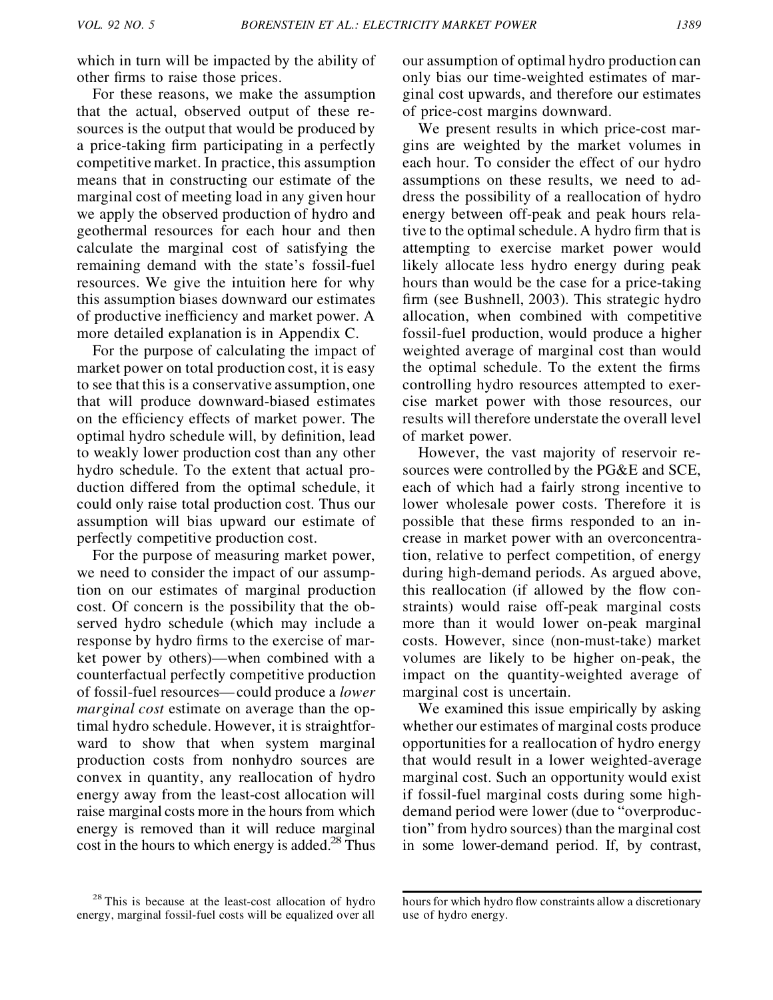which in turn will be impacted by the ability of other firms to raise those prices.

For these reasons, we make the assumption that the actual, observed output of these resources is the output that would be produced by a price-taking firm participating in a perfectly competitive market. In practice, this assumption means that in constructing our estimate of the marginal cost of meeting load in any given hour we apply the observed production of hydro and geothermal resources for each hour and then calculate the marginal cost of satisfying the remaining demand with the state's fossil-fuel resources. We give the intuition here for why this assumption biases downward our estimates of productive inefficiency and market power. A more detailed explanation is in Appendix C.

For the purpose of calculating the impact of market power on total production cost, it is easy to see that this is a conservative assumption, one that will produce downward-biased estimates on the efficiency effects of market power. The optimal hydro schedule will, by definition, lead to weakly lower production cost than any other hydro schedule. To the extent that actual production differed from the optimal schedule, it could only raise total production cost. Thus our assumption will bias upward our estimate of perfectly competitive production cost.

For the purpose of measuring market power, we need to consider the impact of our assumption on our estimates of marginal production cost. Of concern is the possibility that the observed hydro schedule (which may include a response by hydro firms to the exercise of market power by others)—when combined with a counterfactual perfectly competitive production of fossil-fuel resources— could produce a *lower marginal cost* estimate on average than the optimal hydro schedule. However, it is straightforward to show that when system marginal production costs from nonhydro sources are convex in quantity, any reallocation of hydro energy away from the least-cost allocation will raise marginal costs more in the hours from which energy is removed than it will reduce marginal cost in the hours to which energy is added.<sup>28</sup> Thus

<sup>28</sup> This is because at the least-cost allocation of hydro energy, marginal fossil-fuel costs will be equalized over all our assumption of optimal hydro production can only bias our time-weighted estimates of marginal cost upwards, and therefore our estimates of price-cost margins downward.

We present results in which price-cost margins are weighted by the market volumes in each hour. To consider the effect of our hydro assumptions on these results, we need to address the possibility of a reallocation of hydro energy between off-peak and peak hours relative to the optimal schedule. A hydro firm that is attempting to exercise market power would likely allocate less hydro energy during peak hours than would be the case for a price-taking firm (see Bushnell, 2003). This strategic hydro allocation, when combined with competitive fossil-fuel production, would produce a higher weighted average of marginal cost than would the optimal schedule. To the extent the firms controlling hydro resources attempted to exercise market power with those resources, our results will therefore understate the overall level of market power.

However, the vast majority of reservoir resources were controlled by the PG&E and SCE, each of which had a fairly strong incentive to lower wholesale power costs. Therefore it is possible that these firms responded to an increase in market power with an overconcentration, relative to perfect competition, of energy during high-demand periods. As argued above, this reallocation (if allowed by the flow constraints) would raise off-peak marginal costs more than it would lower on-peak marginal costs. However, since (non-must-take) market volumes are likely to be higher on-peak, the impact on the quantity-weighted average of marginal cost is uncertain.

We examined this issue empirically by asking whether our estimates of marginal costs produce opportunities for a reallocation of hydro energy that would result in a lower weighted-average marginal cost. Such an opportunity would exist if fossil-fuel marginal costs during some highdemand period were lower (due to "overproduction" from hydro sources) than the marginal cost in some lower-demand period. If, by contrast,

hours for which hydro flow constraints allow a discretionary use of hydro energy.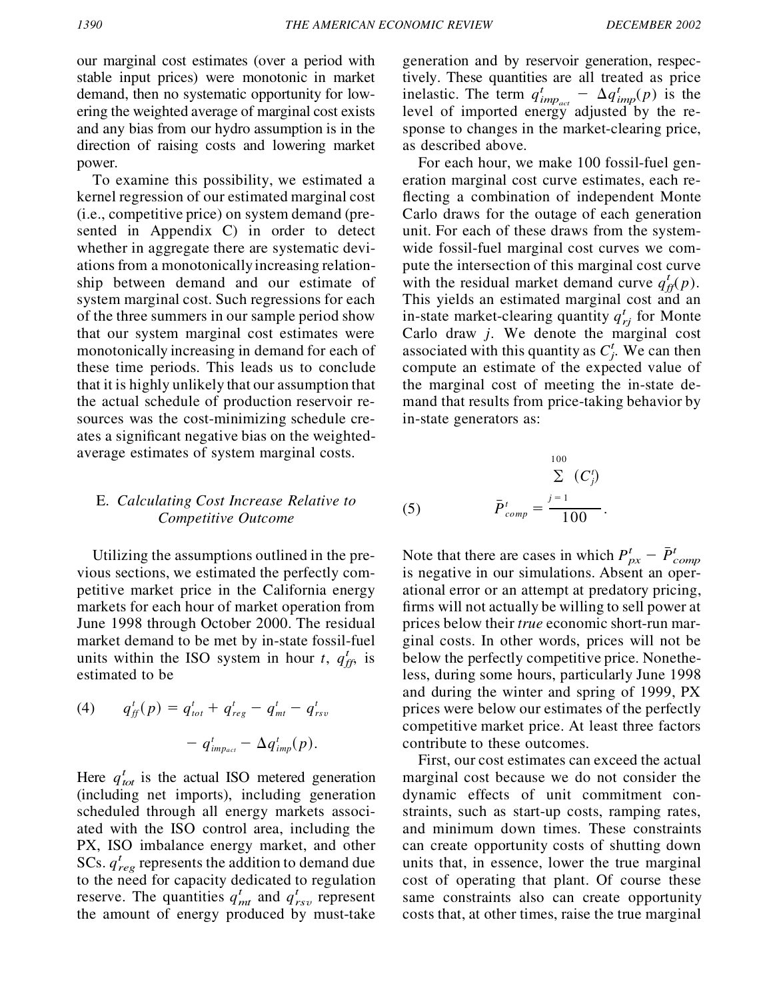our marginal cost estimates (over a period with stable input prices) were monotonic in market demand, then no systematic opportunity for lowering the weighted average of marginal cost exists and any bias from our hydro assumption is in the direction of raising costs and lowering market power.

To examine this possibility, we estimated a kernel regression of our estimated marginal cost (i.e., competitive price) on system demand (presented in Appendix C) in order to detect whether in aggregate there are systematic deviations from a monotonicallyincreasing relationship between demand and our estimate of system marginal cost. Such regressions for each of the three summers in our sample period show that our system marginal cost estimates were monotonically increasing in demand for each of these time periods. This leads us to conclude that it is highly unlikely that our assumption that the actual schedule of production reservoir resources was the cost-minimizing schedule creates a significant negative bias on the weightedaverage estimates of system marginal costs.

# E. *Calculating Cost Increase Relative to Competitive Outcome*

Utilizing the assumptions outlined in the previous sections, we estimated the perfectly competitive market price in the California energy markets for each hour of market operation from June 1998 through October 2000. The residual market demand to be met by in-state fossil-fuel units within the ISO system in hour *t*,  $q_{ff}^t$ , is estimated to be

(4) 
$$
q_{ff}^t(p) = q_{tot}^t + q_{reg}^t - q_{mt}^t - q_{rsv}^t
$$

$$
- q_{imp_{act}}^t - \Delta q_{imp}^t(p).
$$

Here  $q_{tot}^t$  is the actual ISO metered generation (including net imports), including generation scheduled through all energy markets associated with the ISO control area, including the PX, ISO imbalance energy market, and other  $SCs$ .  $q_{reg}^{t}$  represents the addition to demand due to the need for capacity dedicated to regulation reserve. The quantities  $q_{mt}^{t}$  and  $q_{rsv}^{t}$  represent the amount of energy produced by must-take

generation and by reservoir generation, respectively. These quantities are all treated as price inelastic. The term  $q_{imp_{act}}^t - \Delta q_{imp}^t(p)$  is the level of imported energy adjusted by the response to changes in the market-clearing price, as described above.

For each hour, we make 100 fossil-fuel generation marginal cost curve estimates, each re flecting a combination of independent Monte Carlo draws for the outage of each generation unit. For each of these draws from the systemwide fossil-fuel marginal cost curves we compute the intersection of this marginal cost curve with the residual market demand curve  $q_f^t(p)$ . This yields an estimated marginal cost and an in-state market-clearing quantity  $q_{rj}^t$  for Monte Carlo draw *j*. We denote the marginal cost associated with this quantity as  $C_j^t$ . We can then compute an estimate of the expected value of the marginal cost of meeting the in-state demand that results from price-taking behavior by in-state generators as:

(5) 
$$
\bar{P}_{comp}^{t} = \frac{\sum_{j=1}^{100} (C_{j}^{t})}{100}.
$$

Note that there are cases in which  $P_{px}^t - \bar{P}_{comp}^t$ is negative in our simulations. Absent an operational error or an attempt at predatory pricing, firms will not actually be willing to sell power at prices below their *true* economic short-run marginal costs. In other words, prices will not be below the perfectly competitive price. Nonetheless, during some hours, particularly June 1998 and during the winter and spring of 1999, PX prices were below our estimates of the perfectly competitive market price. At least three factors contribute to these outcomes.

First, our cost estimates can exceed the actual marginal cost because we do not consider the dynamic effects of unit commitment constraints, such as start-up costs, ramping rates, and minimum down times. These constraints can create opportunity costs of shutting down units that, in essence, lower the true marginal cost of operating that plant. Of course these same constraints also can create opportunity costs that, at other times, raise the true marginal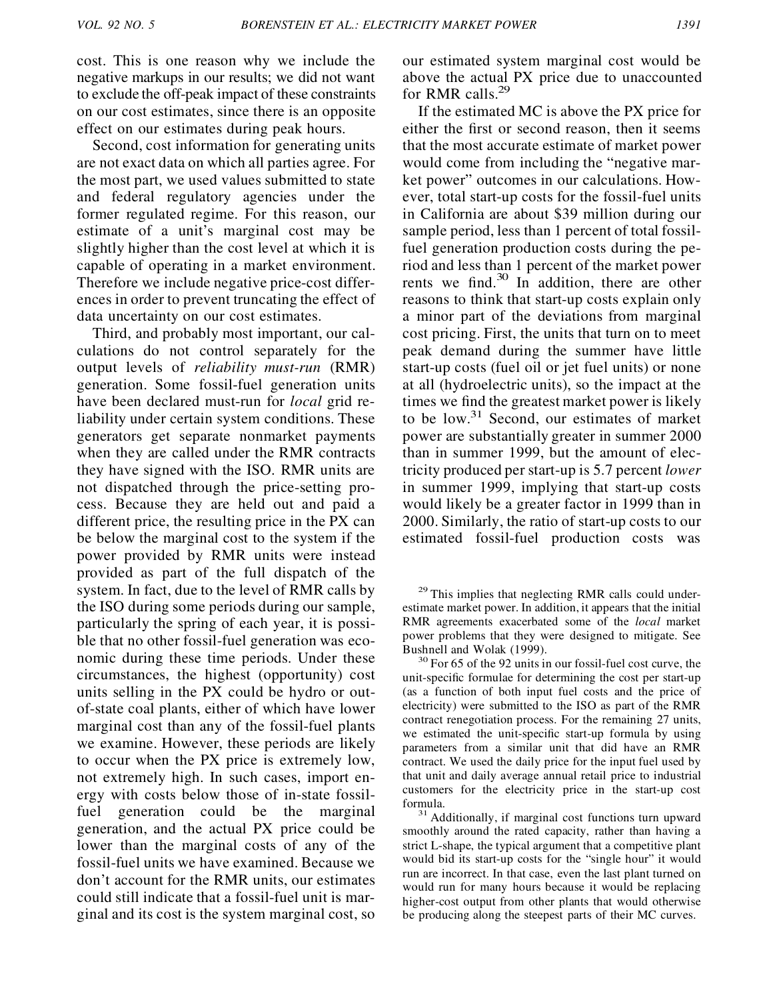cost. This is one reason why we include the negative markups in our results; we did not want to exclude the off-peak impact of these constraints on our cost estimates, since there is an opposite effect on our estimates during peak hours.

Second, cost information for generating units are not exact data on which all parties agree. For the most part, we used values submitted to state and federal regulatory agencies under the former regulated regime. For this reason, our estimate of a unit's marginal cost may be slightly higher than the cost level at which it is capable of operating in a market environment. Therefore we include negative price-cost differences in order to prevent truncating the effect of data uncertainty on our cost estimates.

Third, and probably most important, our calculations do not control separately for the output levels of *reliability must-run* (RMR) generation. Some fossil-fuel generation units have been declared must-run for *local* grid reliability under certain system conditions. These generators get separate nonmarket payments when they are called under the RMR contracts they have signed with the ISO. RMR units are not dispatched through the price-setting process. Because they are held out and paid a different price, the resulting price in the PX can be below the marginal cost to the system if the power provided by RMR units were instead provided as part of the full dispatch of the system. In fact, due to the level of RMR calls by the ISO during some periods during our sample, particularly the spring of each year, it is possible that no other fossil-fuel generation was economic during these time periods. Under these circumstances, the highest (opportunity) cost units selling in the PX could be hydro or outof-state coal plants, either of which have lower marginal cost than any of the fossil-fuel plants we examine. However, these periods are likely to occur when the PX price is extremely low, not extremely high. In such cases, import energy with costs below those of in-state fossilfuel generation could be the marginal generation, and the actual PX price could be lower than the marginal costs of any of the fossil-fuel units we have examined. Because we don't account for the RMR units, our estimates could still indicate that a fossil-fuel unit is marginal and its cost is the system marginal cost, so

our estimated system marginal cost would be above the actual PX price due to unaccounted for RMR calls.<sup>29</sup>

If the estimated MC is above the PX price for either the first or second reason, then it seems that the most accurate estimate of market power would come from including the "negative market power" outcomes in our calculations. However, total start-up costs for the fossil-fuel units in California are about \$39 million during our sample period, less than 1 percent of total fossilfuel generation production costs during the period and less than 1 percent of the market power rents we find. $30$  In addition, there are other reasons to think that start-up costs explain only a minor part of the deviations from marginal cost pricing. First, the units that turn on to meet peak demand during the summer have little start-up costs (fuel oil or jet fuel units) or none at all (hydroelectric units), so the impact at the times we find the greatest market power is likely to be low.<sup>31</sup> Second, our estimates of market power are substantially greater in summer 2000 than in summer 1999, but the amount of electricity produced per start-up is 5.7 percent *lower* in summer 1999, implying that start-up costs would likely be a greater factor in 1999 than in 2000. Similarly, the ratio of start-up costs to our estimated fossil-fuel production costs was

 $29$  This implies that neglecting RMR calls could underestimate market power. In addition, it appears that the initial RMR agreements exacerbated some of the *local* market power problems that they were designed to mitigate. See Bushnell and Wolak (1999).<br><sup>30</sup> For 65 of the 92 units in our fossil-fuel cost curve, the

unit-specific formulae for determining the cost per start-up (as a function of both input fuel costs and the price of electricity) were submitted to the ISO as part of the RMR contract renegotiation process. For the remaining 27 units, we estimated the unit-specific start-up formula by using parameters from a similar unit that did have an RMR contract. We used the daily price for the input fuel used by that unit and daily average annual retail price to industrial customers for the electricity price in the start-up cost

formula. <sup>31</sup> Additionally, if marginal cost functions turn upward smoothly around the rated capacity, rather than having a strict L-shape, the typical argument that a competitive plant would bid its start-up costs for the "single hour" it would run are incorrect. In that case, even the last plant turned on would run for many hours because it would be replacing higher-cost output from other plants that would otherwise be producing along the steepest parts of their MC curves.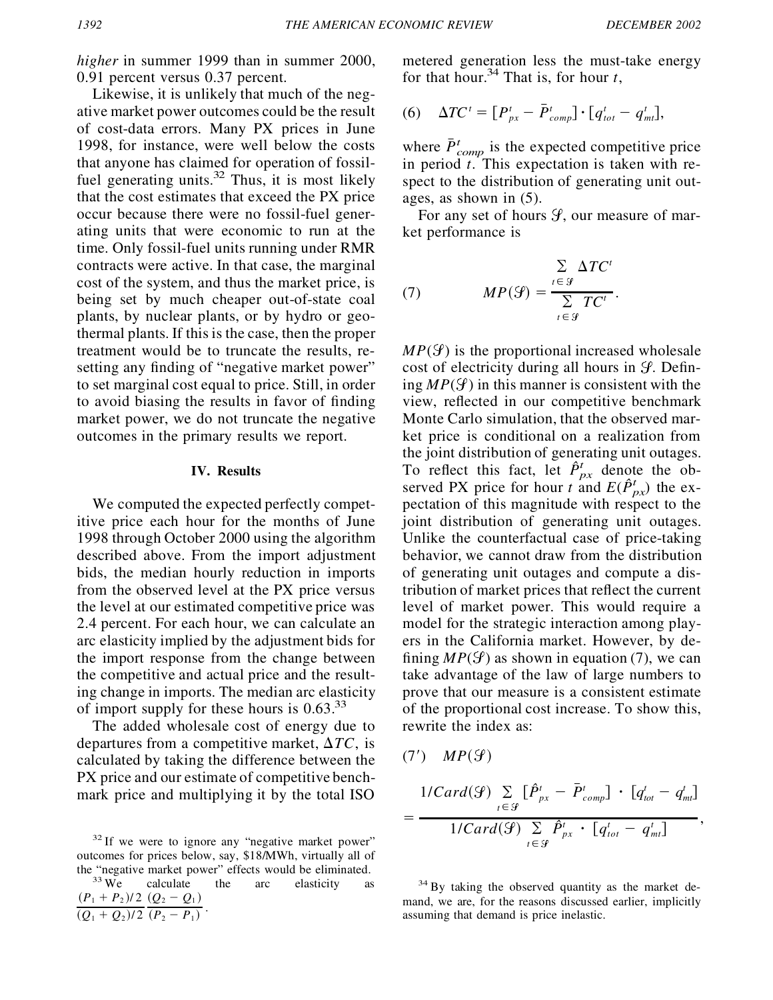*higher* in summer 1999 than in summer 2000, 0.91 percent versus 0.37 percent.

Likewise, it is unlikely that much of the negative market power outcomes could be the result of cost-data errors. Many PX prices in June 1998, for instance, were well below the costs that anyone has claimed for operation of fossilfuel generating units. $32$  Thus, it is most likely that the cost estimates that exceed the PX price occur because there were no fossil-fuel generating units that were economic to run at the time. Only fossil-fuel units running under RMR contracts were active. In that case, the marginal cost of the system, and thus the market price, is being set by much cheaper out-of-state coal plants, by nuclear plants, or by hydro or geothermal plants. If this is the case, then the proper treatment would be to truncate the results, resetting any finding of "negative market power" to set marginal cost equal to price. Still, in order to avoid biasing the results in favor of finding market power, we do not truncate the negative outcomes in the primary results we report.

#### **IV. Results**

We computed the expected perfectly competitive price each hour for the months of June 1998 through October 2000 using the algorithm described above. From the import adjustment bids, the median hourly reduction in imports from the observed level at the PX price versus the level at our estimated competitive price was 2.4 percent. For each hour, we can calculate an arc elasticity implied by the adjustment bids for the import response from the change between the competitive and actual price and the resulting change in imports. The median arc elasticity of import supply for these hours is  $0.63^{33}$ 

The added wholesale cost of energy due to departures from a competitive market,  $\Delta TC$ , is calculated by taking the difference between the PX price and our estimate of competitive benchmark price and multiplying it by the total ISO

 $(P_1 + P_2)/2$  $(Q_1 + Q_2)/2$  $(Q_2 - Q_1)$  $\frac{(\Sigma^2 - \Sigma^1)}{(P_2 - P_1)}$ . metered generation less the must-take energy for that hour.<sup>34</sup> That is, for hour  $t$ ,

$$
(6) \quad \Delta TC^{\iota} = [P^{\iota}_{px} - \bar{P}^{\iota}_{comp}] \cdot [q^{\iota}_{tot} - q^{\iota}_{mt}],
$$

where  $\bar{P}_{comp}^{t}$  is the expected competitive price in period *t*. This expectation is taken with respect to the distribution of generating unit outages, as shown in (5).

For any set of hours  $\mathcal{G}$ , our measure of market performance is

(7) 
$$
MP(\mathcal{G}) = \frac{\sum\limits_{t \in \mathcal{G}} \Delta TC^t}{\sum\limits_{t \in \mathcal{G}} TC^t}.
$$

 $MP(\mathcal{Y})$  is the proportional increased wholesale cost of electricity during all hours in  $\mathcal{G}$ . Defining  $MP(\mathcal{Y})$  in this manner is consistent with the view, reflected in our competitive benchmark Monte Carlo simulation, that the observed market price is conditional on a realization from the joint distribution of generating unit outages. To reflect this fact, let  $\hat{P}_{px}^{t}$  denote the observed PX price for hour *t* and  $E(\hat{P}_{px}^t)$  the expectation of this magnitude with respect to the joint distribution of generating unit outages. Unlike the counterfactual case of price-taking behavior, we cannot draw from the distribution of generating unit outages and compute a distribution of market prices that reflect the current level of market power. This would require a model for the strategic interaction among players in the California market. However, by defining  $MP(\mathcal{Y})$  as shown in equation (7), we can take advantage of the law of large numbers to prove that our measure is a consistent estimate of the proportional cost increase. To show this, rewrite the index as:

(7') 
$$
MP(\mathcal{G})
$$

$$
= \frac{1/Card(\mathcal{G}) \sum_{t \in \mathcal{G}} [\hat{P}_{px}^t - \bar{P}_{comp}^t] \cdot [q_{tot}^t - q_{mt}^t]}{1/Card(\mathcal{G}) \sum_{t \in \mathcal{G}} \hat{P}_{px}^t \cdot [q_{tot}^t - q_{mt}^t]},
$$

 $32$  If we were to ignore any "negative market power" outcomes for prices below, say, \$18/MWh, virtually all of the "negative market power" effects would be eliminated.<br><sup>33</sup> We calculate the arc elasticity as

 $34$  By taking the observed quantity as the market demand, we are, for the reasons discussed earlier, implicitly assuming that demand is price inelastic.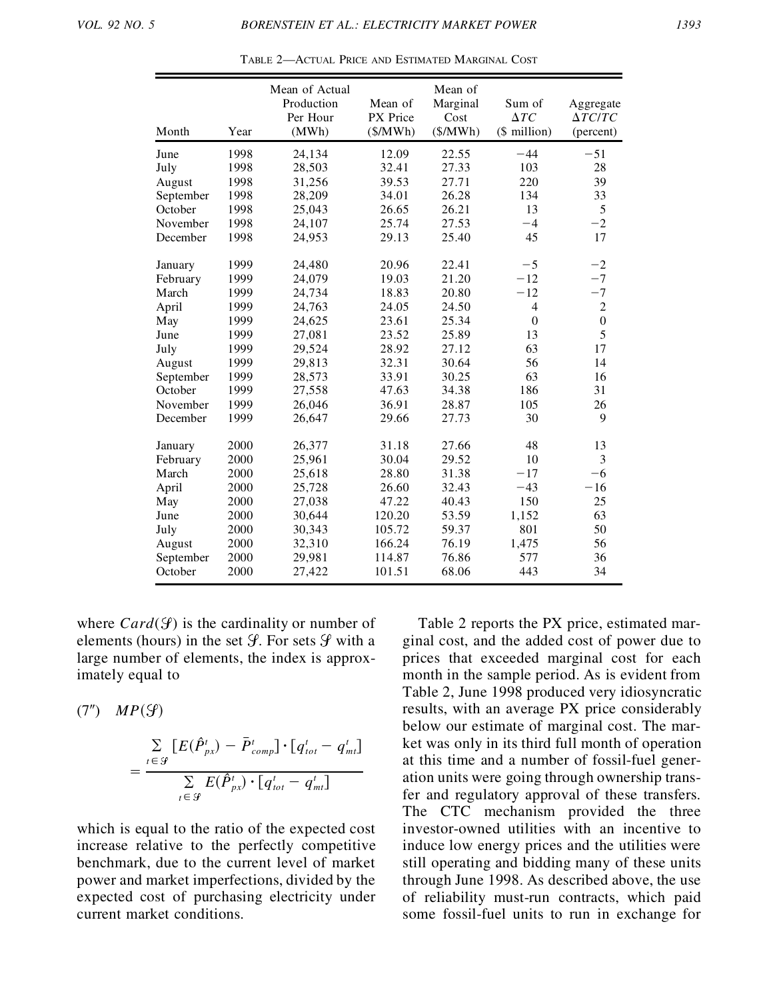|           |      | Mean of Actual    |                      | Mean of          |                             |                  |
|-----------|------|-------------------|----------------------|------------------|-----------------------------|------------------|
|           |      | Production        | Mean of              | Marginal         | Sum of                      | Aggregate        |
| Month     | Year | Per Hour<br>(MWh) | PX Price<br>(\$/MWh) | Cost<br>(\$/MWh) | $\Delta TC$<br>(\$ million) | $\Delta T C/T C$ |
|           |      |                   |                      |                  |                             | (percent)        |
| June      | 1998 | 24,134            | 12.09                | 22.55            | $-44$                       | $-51$            |
| July      | 1998 | 28,503            | 32.41                | 27.33            | 103                         | 28               |
| August    | 1998 | 31,256            | 39.53                | 27.71            | 220                         | 39               |
| September | 1998 | 28,209            | 34.01                | 26.28            | 134                         | 33               |
| October   | 1998 | 25,043            | 26.65                | 26.21            | 13                          | 5                |
| November  | 1998 | 24,107            | 25.74                | 27.53            | $-4$                        | $-2$             |
| December  | 1998 | 24,953            | 29.13                | 25.40            | 45                          | 17               |
| January   | 1999 | 24,480            | 20.96                | 22.41            | $-5$                        | $-2$             |
| February  | 1999 | 24,079            | 19.03                | 21.20            | $-12$                       | $-7$             |
| March     | 1999 | 24,734            | 18.83                | 20.80            | $-12$                       | $-7$             |
| April     | 1999 | 24,763            | 24.05                | 24.50            | $\overline{4}$              | $\overline{c}$   |
| May       | 1999 | 24,625            | 23.61                | 25.34            | $\overline{0}$              | $\overline{0}$   |
| June      | 1999 | 27,081            | 23.52                | 25.89            | 13                          | 5                |
| July      | 1999 | 29,524            | 28.92                | 27.12            | 63                          | 17               |
| August    | 1999 | 29,813            | 32.31                | 30.64            | 56                          | 14               |
| September | 1999 | 28,573            | 33.91                | 30.25            | 63                          | 16               |
| October   | 1999 | 27,558            | 47.63                | 34.38            | 186                         | 31               |
| November  | 1999 | 26,046            | 36.91                | 28.87            | 105                         | 26               |
| December  | 1999 | 26,647            | 29.66                | 27.73            | 30                          | 9                |
| January   | 2000 | 26,377            | 31.18                | 27.66            | 48                          | 13               |
| February  | 2000 | 25,961            | 30.04                | 29.52            | 10                          | 3                |
| March     | 2000 | 25,618            | 28.80                | 31.38            | $-17$                       | $-6$             |
| April     | 2000 | 25,728            | 26.60                | 32.43            | $-43$                       | $-16$            |
| May       | 2000 | 27,038            | 47.22                | 40.43            | 150                         | 25               |
| June      | 2000 | 30,644            | 120.20               | 53.59            | 1,152                       | 63               |
| July      | 2000 | 30,343            | 105.72               | 59.37            | 801                         | 50               |
| August    | 2000 | 32,310            | 166.24               | 76.19            | 1,475                       | 56               |
| September | 2000 | 29,981            | 114.87               | 76.86            | 577                         | 36               |
| October   | 2000 | 27,422            | 101.51               | 68.06            | 443                         | 34               |

TABLE 2—ACTUAL PRICE AND ESTIMATED MARGINAL COST

where  $Card(\mathcal{G})$  is the cardinality or number of elements (hours) in the set  $\mathcal G$ . For sets  $\mathcal G$  with a large number of elements, the index is approximately equal to

$$
(7") \quad MP(\mathcal{G})
$$

$$
= \frac{\sum\limits_{t \in \mathcal{G}} \left[E(\hat{P}_{px}^t) - \bar{P}_{comp}^t\right] \cdot \left[q_{tot}^t - q_{mt}^t\right]}{\sum\limits_{t \in \mathcal{G}} E(\hat{P}_{px}^t) \cdot \left[q_{tot}^t - q_{mt}^t\right]}
$$

which is equal to the ratio of the expected cost increase relative to the perfectly competitive benchmark, due to the current level of market power and market imperfections, divided by the expected cost of purchasing electricity under current market conditions.

Table 2 reports the PX price, estimated marginal cost, and the added cost of power due to prices that exceeded marginal cost for each month in the sample period. As is evident from Table 2, June 1998 produced very idiosyncratic results, with an average PX price considerably below our estimate of marginal cost. The market was only in its third full month of operation at this time and a number of fossil-fuel generation units were going through ownership transfer and regulatory approval of these transfers. The CTC mechanism provided the three investor-owned utilities with an incentive to induce low energy prices and the utilities were still operating and bidding many of these units through June 1998. As described above, the use of reliability must-run contracts, which paid some fossil-fuel units to run in exchange for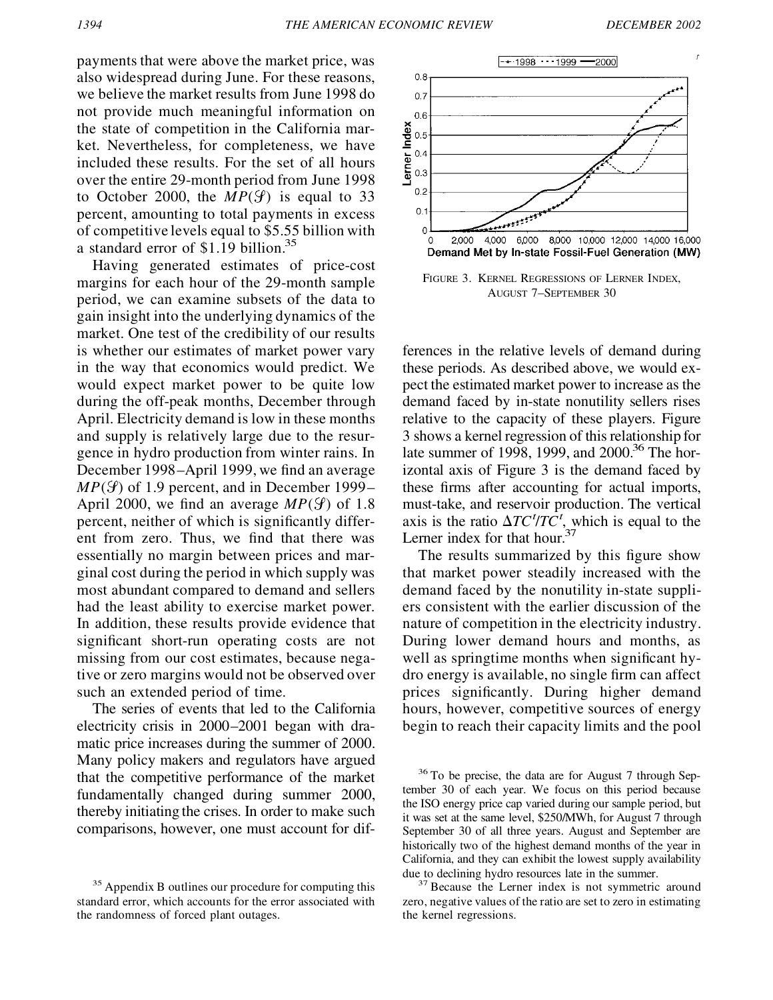payments that were above the market price, was also widespread during June. For these reasons, we believe the market results from June 1998 do not provide much meaningful information on the state of competition in the California market. Nevertheless, for completeness, we have included these results. For the set of all hours over the entire 29-month period from June 1998 to October 2000, the  $MP(\mathcal{G})$  is equal to 33 percent, amounting to total payments in excess of competitive levels equal to \$5.55 billion with a standard error of \$1.19 billion.<sup>35</sup>

Having generated estimates of price-cost margins for each hour of the 29-month sample period, we can examine subsets of the data to gain insight into the underlying dynamics of the market. One test of the credibility of our results is whether our estimates of market power vary in the way that economics would predict. We would expect market power to be quite low during the off-peak months, December through April. Electricity demand is low in these months and supply is relatively large due to the resurgence in hydro production from winter rains. In December 1998–April 1999, we find an average  $MP(\mathcal{Y})$  of 1.9 percent, and in December 1999– April 2000, we find an average  $MP(\mathcal{Y})$  of 1.8 percent, neither of which is significantly different from zero. Thus, we find that there was essentially no margin between prices and marginal cost during the period in which supply was most abundant compared to demand and sellers had the least ability to exercise market power. In addition, these results provide evidence that significant short-run operating costs are not missing from our cost estimates, because negative or zero margins would not be observed over such an extended period of time.

The series of events that led to the California electricity crisis in 2000–2001 began with dramatic price increases during the summer of 2000. Many policy makers and regulators have argued that the competitive performance of the market fundamentally changed during summer 2000, thereby initiating the crises. In order to make such comparisons, however, one must account for dif-

<sup>35</sup> Appendix B outlines our procedure for computing this standard error, which accounts for the error associated with the randomness of forced plant outages.

ferences in the relative levels of demand during these periods. As described above, we would expect the estimated market power to increase as the demand faced by in-state nonutility sellers rises relative to the capacity of these players. Figure 3 shows a kernel regression of this relationshipfor late summer of 1998, 1999, and  $2000^{36}$  The horizontal axis of Figure 3 is the demand faced by these firms after accounting for actual imports, must-take, and reservoir production. The vertical axis is the ratio  $\Delta TC^t/TC^t$ , which is equal to the Lerner index for that hour. $37$ 

The results summarized by this figure show that market power steadily increased with the demand faced by the nonutility in-state suppliers consistent with the earlier discussion of the nature of competition in the electricity industry. During lower demand hours and months, as well as springtime months when significant hydro energy is available, no single firm can affect prices significantly. During higher demand hours, however, competitive sources of energy begin to reach their capacity limits and the pool

<sup>36</sup> To be precise, the data are for August 7 through September 30 of each year. We focus on this period because the ISO energy price cap varied during our sample period, but it was set at the same level, \$250/MWh, for August 7 through September 30 of all three years. August and September are historically two of the highest demand months of the year in California, and they can exhibit the lowest supply availability due to declining hydro resources late in the summer.<br><sup>37</sup> Because the Lerner index is not symmetric around

zero, negative values of the ratio are set to zero in estimating the kernel regressions.

FIGURE 3. KERNEL REGRESSIONS OF LERNER INDEX, AUGUST 7–SEPTEMBER 30

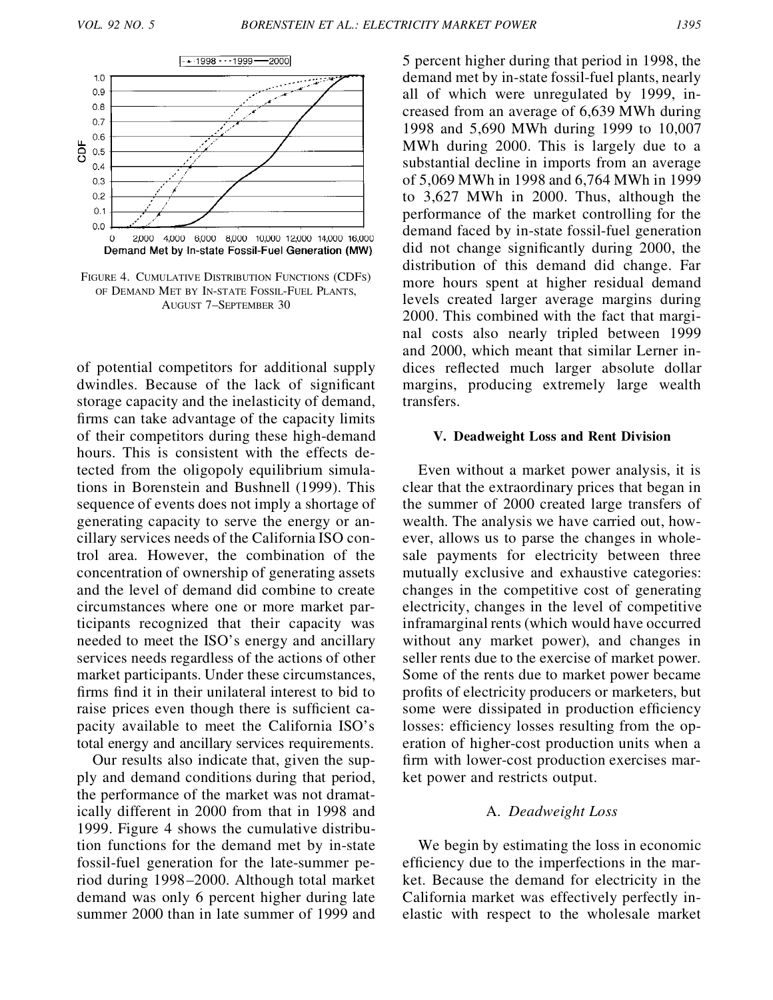

Demand Met by In-state Fossil-Fuel Generation (MW)

FIGURE 4. CUMULATIVE DISTRIBUTION FUNCTIONS (CDFS) OF DEMAND MET BY IN-STATE FOSSIL-FUEL PLANTS, AUGUST 7–SEPTEMBER 30

of potential competitors for additional supply dwindles. Because of the lack of significant storage capacity and the inelasticity of demand, firms can take advantage of the capacity limits of their competitors during these high-demand hours. This is consistent with the effects detected from the oligopoly equilibrium simulations in Borenstein and Bushnell (1999). This sequence of events does not imply a shortage of generating capacity to serve the energy or ancillary services needs of the California ISO control area. However, the combination of the concentration of ownershipof generating assets and the level of demand did combine to create circumstances where one or more market participants recognized that their capacity was needed to meet the ISO's energy and ancillary services needs regardless of the actions of other market participants. Under these circumstances, firms find it in their unilateral interest to bid to raise prices even though there is sufficient capacity available to meet the California ISO's total energy and ancillary services requirements.

Our results also indicate that, given the supply and demand conditions during that period, the performance of the market was not dramatically different in 2000 from that in 1998 and 1999. Figure 4 shows the cumulative distribution functions for the demand met by in-state fossil-fuel generation for the late-summer period during 1998–2000. Although total market demand was only 6 percent higher during late summer 2000 than in late summer of 1999 and

5 percent higher during that period in 1998, the demand met by in-state fossil-fuel plants, nearly all of which were unregulated by 1999, increased from an average of 6,639 MWh during 1998 and 5,690 MWh during 1999 to 10,007 MWh during 2000. This is largely due to a substantial decline in imports from an average of 5,069 MWh in 1998 and 6,764 MWh in 1999 to 3,627 MWh in 2000. Thus, although the performance of the market controlling for the demand faced by in-state fossil-fuel generation did not change significantly during 2000, the distribution of this demand did change. Far more hours spent at higher residual demand levels created larger average margins during 2000. This combined with the fact that marginal costs also nearly tripled between 1999 and 2000, which meant that similar Lerner indices reflected much larger absolute dollar margins, producing extremely large wealth transfers.

#### **V. Deadweight Loss and Rent Division**

Even without a market power analysis, it is clear that the extraordinary prices that began in the summer of 2000 created large transfers of wealth. The analysis we have carried out, however, allows us to parse the changes in wholesale payments for electricity between three mutually exclusive and exhaustive categories: changes in the competitive cost of generating electricity, changes in the level of competitive inframarginal rents (which would have occurred without any market power), and changes in seller rents due to the exercise of market power. Some of the rents due to market power became profits of electricity producers or marketers, but some were dissipated in production efficiency losses: efficiency losses resulting from the operation of higher-cost production units when a firm with lower-cost production exercises market power and restricts output.

#### A. *Deadweight Loss*

We begin by estimating the loss in economic efficiency due to the imperfections in the market. Because the demand for electricity in the California market was effectively perfectly inelastic with respect to the wholesale market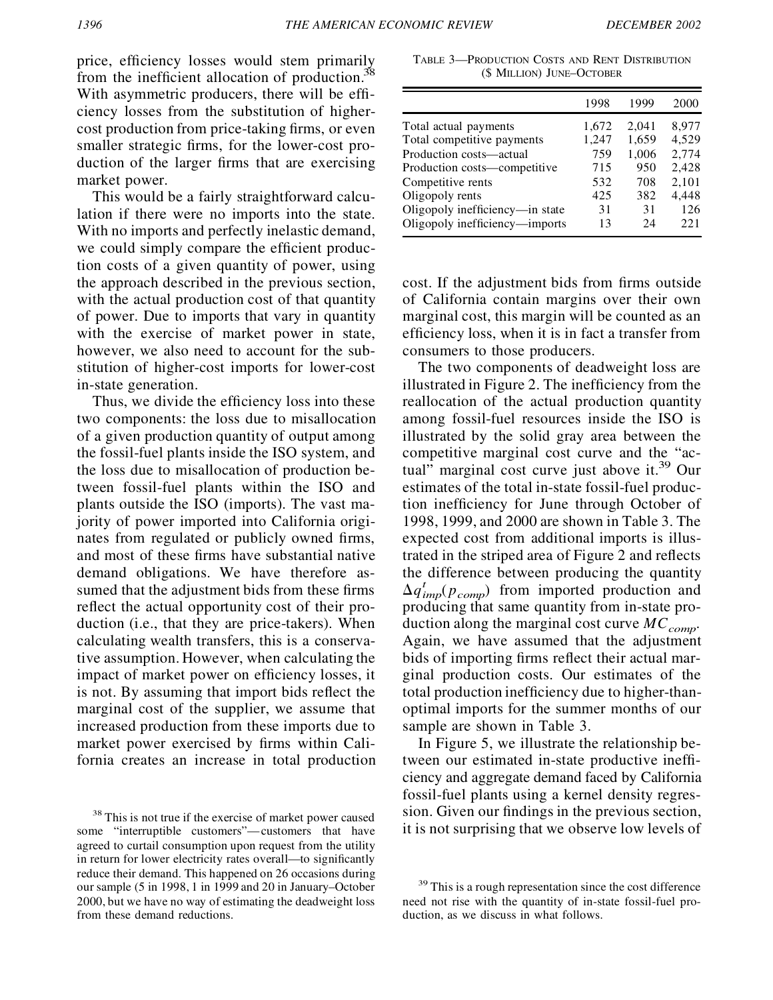price, efficiency losses would stem primarily from the inefficient allocation of production. $38$ With asymmetric producers, there will be efficiency losses from the substitution of highercost production from price-taking firms, or even smaller strategic firms, for the lower-cost production of the larger firms that are exercising market power.

This would be a fairly straightforward calculation if there were no imports into the state. With no imports and perfectly inelastic demand, we could simply compare the efficient production costs of a given quantity of power, using the approach described in the previous section, with the actual production cost of that quantity of power. Due to imports that vary in quantity with the exercise of market power in state, however, we also need to account for the substitution of higher-cost imports for lower-cost in-state generation.

Thus, we divide the efficiency loss into these two components: the loss due to misallocation of a given production quantity of output among the fossil-fuel plants inside the ISO system, and the loss due to misallocation of production between fossil-fuel plants within the ISO and plants outside the ISO (imports). The vast majority of power imported into California originates from regulated or publicly owned firms, and most of these firms have substantial native demand obligations. We have therefore assumed that the adjustment bids from these firms reflect the actual opportunity cost of their production (i.e., that they are price-takers). When calculating wealth transfers, this is a conservative assumption. However, when calculating the impact of market power on efficiency losses, it is not. By assuming that import bids reflect the marginal cost of the supplier, we assume that increased production from these imports due to market power exercised by firms within California creates an increase in total production

TABLE 3—PRODUCTION COSTS AND RENT DISTRIBUTION (\$ MILLION) JUNE–OCTOBER

|                                 | 1998  | 1999  | 2000  |
|---------------------------------|-------|-------|-------|
| Total actual payments           | 1,672 | 2.041 | 8.977 |
| Total competitive payments      | 1,247 | 1,659 | 4,529 |
| Production costs—actual         | 759   | 1,006 | 2,774 |
| Production costs—competitive    | 715   | 950   | 2,428 |
| Competitive rents               | 532   | 708   | 2,101 |
| Oligopoly rents                 | 425   | 382   | 4,448 |
| Oligopoly inefficiency-in state | 31    | 31    | 126   |
| Oligopoly inefficiency—imports  | 13    | 24    | 22.1  |

cost. If the adjustment bids from firms outside of California contain margins over their own marginal cost, this margin will be counted as an efficiency loss, when it is in fact a transfer from consumers to those producers.

The two components of deadweight loss are illustrated in Figure 2. The inefficiency from the reallocation of the actual production quantity among fossil-fuel resources inside the ISO is illustrated by the solid gray area between the competitive marginal cost curve and the "actual" marginal cost curve just above it.<sup>39</sup> Our estimates of the total in-state fossil-fuel production inefficiency for June through October of 1998, 1999, and 2000 are shown in Table 3. The expected cost from additional imports is illustrated in the striped area of Figure 2 and reflects the difference between producing the quantity  $\Delta q_{imp}^{t}(p_{comp})$  from imported production and producing that same quantity from in-state production along the marginal cost curve  $MC_{comp}$ . Again, we have assumed that the adjustment bids of importing firms reflect their actual marginal production costs. Our estimates of the total production inefficiency due to higher-thanoptimal imports for the summer months of our sample are shown in Table 3.

In Figure 5, we illustrate the relationship between our estimated in-state productive inefficiency and aggregate demand faced by California fossil-fuel plants using a kernel density regression. Given our findings in the previous section, it is not surprising that we observe low levels of

<sup>&</sup>lt;sup>38</sup> This is not true if the exercise of market power caused some "interruptible customers"— customers that have agreed to curtail consumption upon request from the utility in return for lower electricity rates overall—to significantly reduce their demand. This happened on 26 occasions during our sample (5 in 1998, 1 in 1999 and 20 in January–October 2000, but we have no way of estimating the deadweight loss from these demand reductions.

<sup>&</sup>lt;sup>39</sup> This is a rough representation since the cost difference need not rise with the quantity of in-state fossil-fuel production, as we discuss in what follows.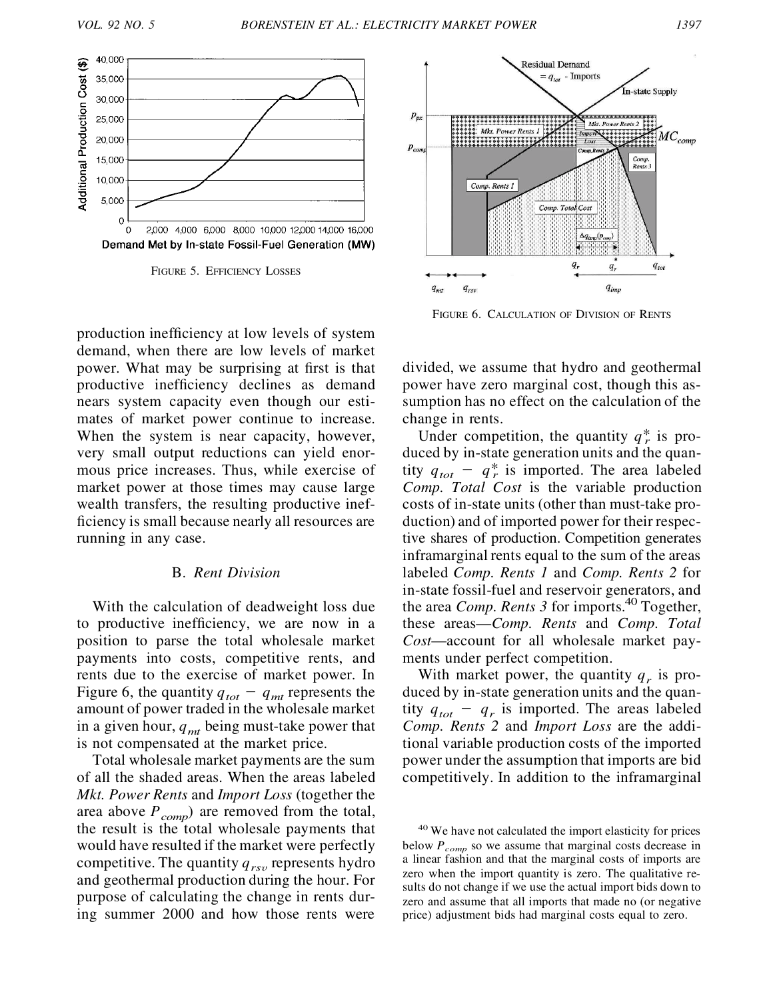

FIGURE 5. EFFICIENCY LOSSES

production inefficiency at low levels of system demand, when there are low levels of market power. What may be surprising at first is that productive inefficiency declines as demand nears system capacity even though our estimates of market power continue to increase. When the system is near capacity, however, very small output reductions can yield enormous price increases. Thus, while exercise of market power at those times may cause large wealth transfers, the resulting productive inefficiency is small because nearly all resources are running in any case.

## B. *Rent Division*

With the calculation of deadweight loss due to productive inefficiency, we are now in a position to parse the total wholesale market payments into costs, competitive rents, and rents due to the exercise of market power. In Figure 6, the quantity  $q_{tot} - q_{mt}$  represents the amount of power traded in the wholesale market in a given hour,  $q_{mt}$  being must-take power that is not compensated at the market price.

Total wholesale market payments are the sum of all the shaded areas. When the areas labeled *Mkt. Power Rents* and *Import Loss* (together the area above  $P_{comp}$ ) are removed from the total, the result is the total wholesale payments that would have resulted if the market were perfectly competitive. The quantity  $q_{rsv}$  represents hydro and geothermal production during the hour. For purpose of calculating the change in rents during summer 2000 and how those rents were



FIGURE 6. CALCULATION OF DIVISION OF RENTS

divided, we assume that hydro and geothermal power have zero marginal cost, though this assumption has no effect on the calculation of the change in rents.

Under competition, the quantity  $q_r^*$  is produced by in-state generation units and the quantity  $q_{tot} - q^*$  is imported. The area labeled *Comp. Total Cost* is the variable production costs of in-state units (other than must-take production) and of imported power for their respective shares of production. Competition generates inframarginal rents equal to the sum of the areas labeled *Comp. Rents 1* and *Comp. Rents 2* for in-state fossil-fuel and reservoir generators, and the area *Comp. Rents 3* for imports.<sup>40</sup> Together, these areas—*Comp. Rents* and *Comp. Total Cost*—account for all wholesale market payments under perfect competition.

With market power, the quantity  $q_r$  is produced by in-state generation units and the quantity  $q_{tot} - q_r$  is imported. The areas labeled *Comp. Rents 2* and *Import Loss* are the additional variable production costs of the imported power under the assumption that imports are bid competitively. In addition to the inframarginal

<sup>&</sup>lt;sup>40</sup> We have not calculated the import elasticity for prices below  $P_{comp}$  so we assume that marginal costs decrease in a linear fashion and that the marginal costs of imports are zero when the import quantity is zero. The qualitative results do not change if we use the actual import bids down to zero and assume that all imports that made no (or negative price) adjustment bids had marginal costs equal to zero.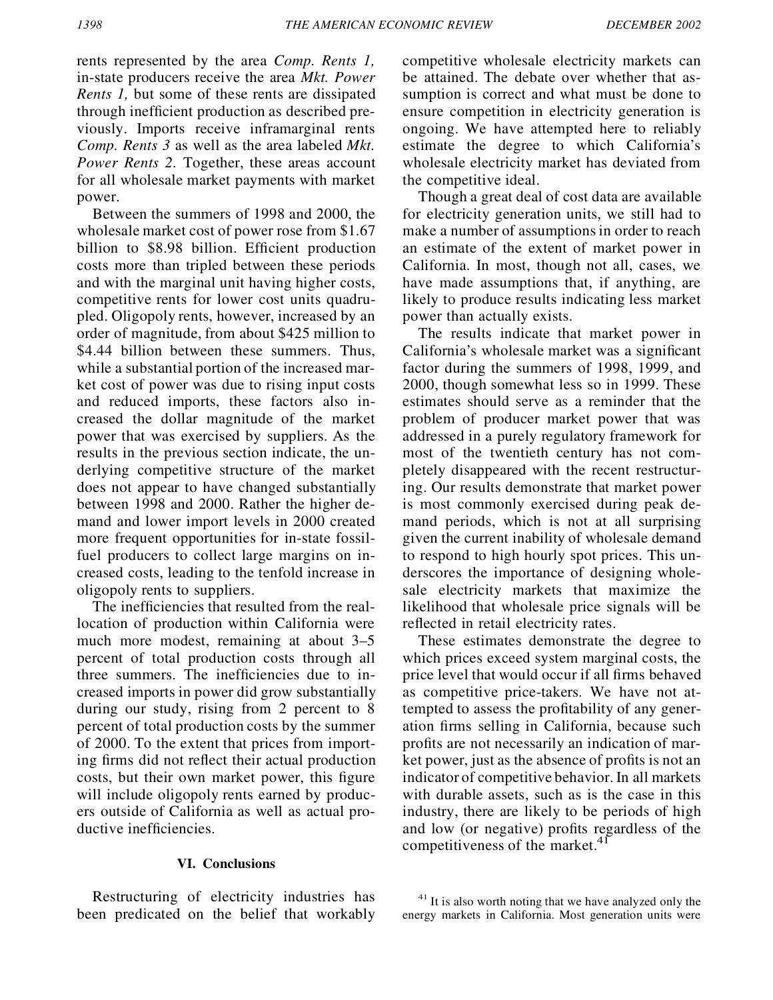rents represented by the area *Comp. Rents 1,* in-state producers receive the area *Mkt. Power Rents 1,* but some of these rents are dissipated through inefficient production as described previously. Imports receive inframarginal rents *Comp. Rents 3* as well as the area labeled *Mkt. Power Rents 2.* Together, these areas account for all wholesale market payments with market power.

Between the summers of 1998 and 2000, the wholesale market cost of power rose from \$1.67 billion to \$8.98 billion. Efficient production costs more than tripled between these periods and with the marginal unit having higher costs, competitive rents for lower cost units quadrupled. Oligopoly rents, however, increased by an order of magnitude, from about \$425 million to \$4.44 billion between these summers. Thus, while a substantial portion of the increased market cost of power was due to rising input costs and reduced imports, these factors also increased the dollar magnitude of the market power that was exercised by suppliers. As the results in the previous section indicate, the underlying competitive structure of the market does not appear to have changed substantially between 1998 and 2000. Rather the higher demand and lower import levels in 2000 created more frequent opportunities for in-state fossilfuel producers to collect large margins on increased costs, leading to the tenfold increase in oligopoly rents to suppliers.

The inefficiencies that resulted from the reallocation of production within California were much more modest, remaining at about 3–5 percent of total production costs through all three summers. The inefficiencies due to increased imports in power did grow substantially during our study, rising from 2 percent to 8 percent of total production costs by the summer of 2000. To the extent that prices from importing firms did not reflect their actual production costs, but their own market power, this figure will include oligopoly rents earned by producers outside of California as well as actual productive inefficiencies.

#### **VI. Conclusions**

Restructuring of electricity industries has been predicated on the belief that workably competitive wholesale electricity markets can be attained. The debate over whether that assumption is correct and what must be done to ensure competition in electricity generation is ongoing. We have attempted here to reliably estimate the degree to which California's wholesale electricity market has deviated from the competitive ideal.

Though a great deal of cost data are available for electricity generation units, we still had to make a number of assumptions in order to reach an estimate of the extent of market power in California. In most, though not all, cases, we have made assumptions that, if anything, are likely to produce results indicating less market power than actually exists.

The results indicate that market power in California's wholesale market was a significant factor during the summers of 1998, 1999, and 2000, though somewhat less so in 1999. These estimates should serve as a reminder that the problem of producer market power that was addressed in a purely regulatory framework for most of the twentieth century has not completely disappeared with the recent restructuring. Our results demonstrate that market power is most commonly exercised during peak demand periods, which is not at all surprising given the current inability of wholesale demand to respond to high hourly spot prices. This underscores the importance of designing wholesale electricity markets that maximize the likelihood that wholesale price signals will be reflected in retail electricity rates.

These estimates demonstrate the degree to which prices exceed system marginal costs, the price level that would occur if all firms behaved as competitive price-takers. We have not attempted to assess the profitability of any generation firms selling in California, because such profits are not necessarily an indication of market power, just as the absence of profits is not an indicator of competitive behavior. In all markets with durable assets, such as is the case in this industry, there are likely to be periods of high and low (or negative) profits regardless of the competitiveness of the market.<sup>41</sup>

 $41$  It is also worth noting that we have analyzed only the energy markets in California. Most generation units were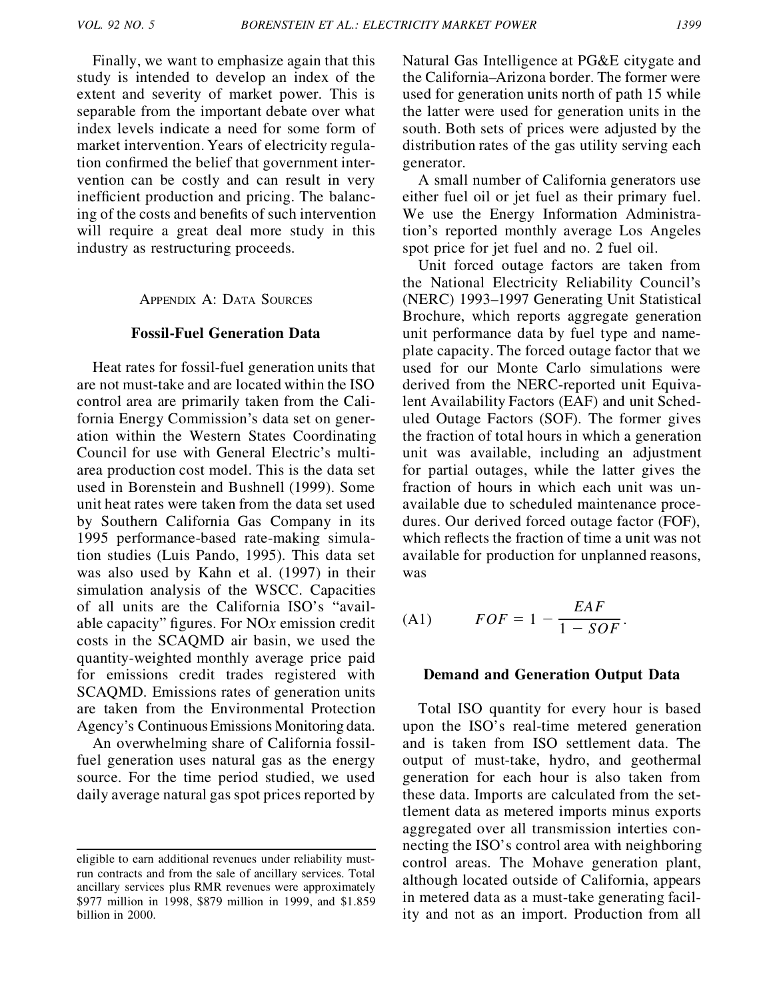Finally, we want to emphasize again that this study is intended to develop an index of the extent and severity of market power. This is separable from the important debate over what index levels indicate a need for some form of market intervention. Years of electricity regulation confirmed the belief that government intervention can be costly and can result in very inefficient production and pricing. The balancing of the costs and benefits of such intervention will require a great deal more study in this industry as restructuring proceeds.

# APPENDIX A: DATA SOURCES

## **Fossil-Fuel Generation Data**

Heat rates for fossil-fuel generation units that are not must-take and are located within the ISO control area are primarily taken from the California Energy Commission's data set on generation within the Western States Coordinating Council for use with General Electric's multiarea production cost model. This is the data set used in Borenstein and Bushnell (1999). Some unit heat rates were taken from the data set used by Southern California Gas Company in its 1995 performance-based rate-making simulation studies (Luis Pando, 1995). This data set was also used by Kahn et al. (1997) in their simulation analysis of the WSCC. Capacities of all units are the California ISO's "available capacity" figures. For  $NOx$  emission credit costs in the SCAQMD air basin, we used the quantity-weighted monthly average price paid for emissions credit trades registered with SCAQMD. Emissions rates of generation units are taken from the Environmental Protection Agency's Continuous Emissions Monitoring data.

An overwhelming share of California fossilfuel generation uses natural gas as the energy source. For the time period studied, we used daily average natural gas spot prices reported by

Natural Gas Intelligence at PG&E citygate and the California–Arizona border. The former were used for generation units north of path 15 while the latter were used for generation units in the south. Both sets of prices were adjusted by the distribution rates of the gas utility serving each generator.

A small number of California generators use either fuel oil or jet fuel as their primary fuel. We use the Energy Information Administration's reported monthly average Los Angeles spot price for jet fuel and no. 2 fuel oil.

Unit forced outage factors are taken from the National Electricity Reliability Council's (NERC) 1993–1997 Generating Unit Statistical Brochure, which reports aggregate generation unit performance data by fuel type and nameplate capacity. The forced outage factor that we used for our Monte Carlo simulations were derived from the NERC-reported unit Equivalent Availability Factors (EAF) and unit Scheduled Outage Factors (SOF). The former gives the fraction of total hours in which a generation unit was available, including an adjustment for partial outages, while the latter gives the fraction of hours in which each unit was unavailable due to scheduled maintenance procedures. Our derived forced outage factor (FOF), which reflects the fraction of time a unit was not available for production for unplanned reasons, was

$$
(A1) \tFOF = 1 - \frac{EAF}{1 - SOF}.
$$

#### **Demand and Generation Output Data**

Total ISO quantity for every hour is based upon the ISO's real-time metered generation and is taken from ISO settlement data. The output of must-take, hydro, and geothermal generation for each hour is also taken from these data. Imports are calculated from the settlement data as metered imports minus exports aggregated over all transmission interties connecting the ISO's control area with neighboring control areas. The Mohave generation plant, although located outside of California, appears in metered data as a must-take generating facility and not as an import. Production from all

eligible to earn additional revenues under reliability mustrun contracts and from the sale of ancillary services. Total ancillary services plus RMR revenues were approximately \$977 million in 1998, \$879 million in 1999, and \$1.859 billion in 2000.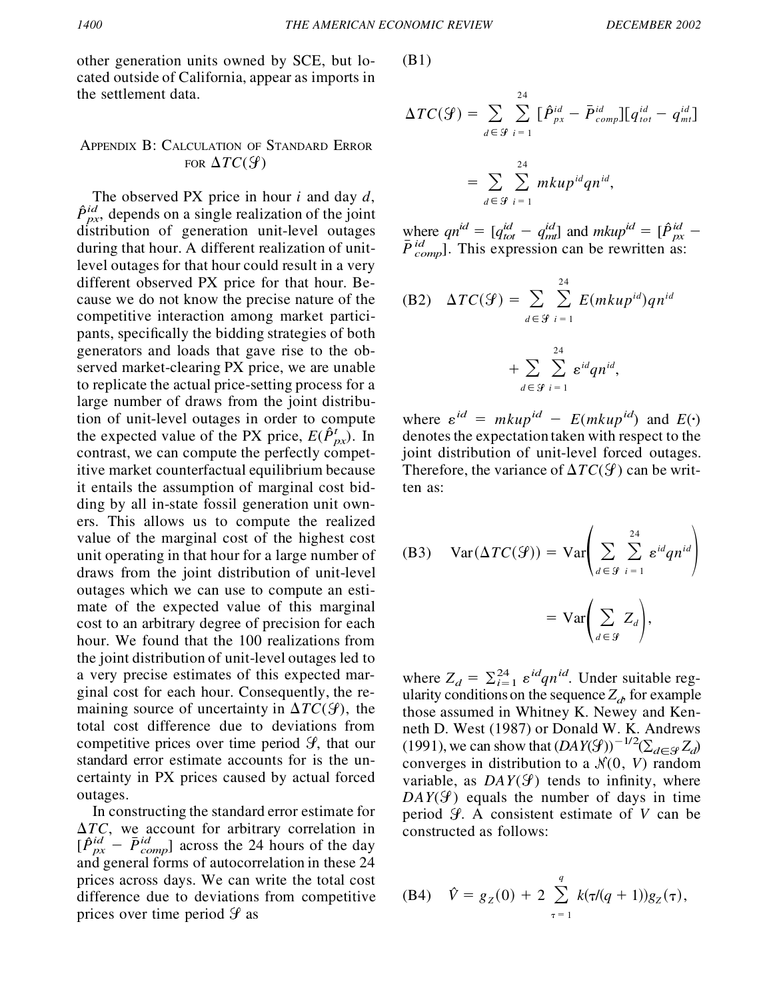other generation units owned by SCE, but located outside of California, appear as imports in the settlement data.

## APPENDIX B: CALCULATION OF STANDARD ERROR FOR  $\Delta TC(\mathcal{G})$

The observed PX price in hour *i* and day *d*,  $\hat{P}_{px}^{id}$ , depends on a single realization of the joint distribution of generation unit-level outages during that hour. A different realization of unitlevel outages for that hour could result in a very different observed PX price for that hour. Because we do not know the precise nature of the competitive interaction among market participants, specifically the bidding strategies of both generators and loads that gave rise to the observed market-clearing PX price, we are unable to replicate the actual price-setting process for a large number of draws from the joint distribution of unit-level outages in order to compute the expected value of the PX price,  $E(\hat{P}_{px}^{t})$ . In contrast, we can compute the perfectly competitive market counterfactual equilibrium because it entails the assumption of marginal cost bidding by all in-state fossil generation unit owners. This allows us to compute the realized value of the marginal cost of the highest cost unit operating in that hour for a large number of draws from the joint distribution of unit-level outages which we can use to compute an estimate of the expected value of this marginal cost to an arbitrary degree of precision for each hour. We found that the 100 realizations from the joint distribution of unit-level outages led to a very precise estimates of this expected marginal cost for each hour. Consequently, the remaining source of uncertainty in  $\Delta TC(\mathcal{G})$ , the total cost difference due to deviations from competitive prices over time period  $\mathcal{G}$ , that our standard error estimate accounts for is the uncertainty in PX prices caused by actual forced outages.

In constructing the standard error estimate for  $\Delta TC$ , we account for arbitrary correlation in  $[\hat{P}_{px}^{id} - \bar{P}_{comp}^{id}]$  across the 24 hours of the day and general forms of autocorrelation in these 24 prices across days. We can write the total cost difference due to deviations from competitive prices over time period  $\mathcal{G}$  as

(B1)

$$
\Delta TC(\mathcal{G}) = \sum_{d \in \mathcal{G}} \sum_{i=1}^{24} \left[ \hat{P}_{px}^{id} - \bar{P}_{comp}^{id} \right] \left[ q_{tot}^{id} - q_{mt}^{id} \right]
$$

$$
= \sum_{d \in \mathcal{G}} \sum_{i=1}^{24} m kup^{id}qn^{id},
$$

where  $qn^{id} = [q_{tot}^{id} - q_{mt}^{id}]$  and  $mkup^{id} = [\hat{P}_{px}^{id} - \hat{P}_{px}^{id}]$  $\bar{P}_{comp}^{id}$ . This expression can be rewritten as:

(B2) 
$$
\Delta TC(\mathcal{G}) = \sum_{d \in \mathcal{G}} \sum_{i=1}^{24} E(mkup^{id})qn^{id}
$$

$$
+ \sum_{d} \sum_{i=1}^{24} \varepsilon^{id}qn^{id},
$$

 $d \in$ 

where  $\varepsilon^{id}$  =  $mkup^{id}$  –  $E(mkup^{id})$  and  $E(\cdot)$ denotes the expectation taken with respect to the joint distribution of unit-level forced outages. Therefore, the variance of  $\Delta TC(\mathcal{Y})$  can be written as:

 $i = 1$ 

(B3) 
$$
Var(\Delta TC(\mathcal{G})) = Var \left( \sum_{d \in \mathcal{G}} \sum_{i=1}^{24} \varepsilon^{id} q n^{id} \right)
$$

$$
= \mathrm{Var}\Bigg(\sum_{d \in \mathcal{G}} Z_d\Bigg),\,
$$

where  $Z_d = \sum_{i=1}^{24} \varepsilon^{id} q n^{id}$ . Under suitable regularity conditions on the sequence  $Z_d$ , for example those assumed in Whitney K. Newey and Kenneth D. West (1987) or Donald W. K. Andrews (1991), we can show that  $(DAY(\mathcal{G}))^{-1/2}(\sum_{d \in \mathcal{G}} Z_d)$ converges in distribution to a  $\mathcal{N}(0, V)$  random variable, as  $DAY(\mathcal{G})$  tends to infinity, where  $DAY(\mathcal{G})$  equals the number of days in time period  $\mathcal{G}$ . A consistent estimate of *V* can be constructed as follows:

(B4) 
$$
\hat{V} = g_Z(0) + 2 \sum_{\tau=1}^{q} k(\tau/(q+1))g_Z(\tau),
$$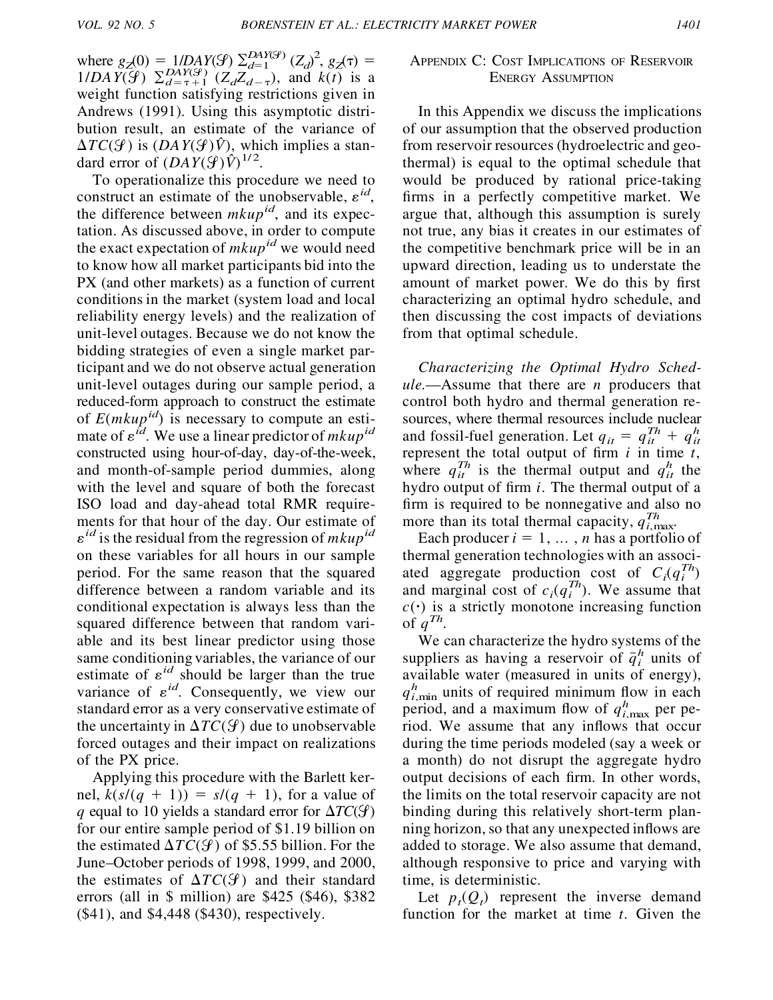where  $g_Z(0) = 1/DAY(\mathcal{F}) \sum_{d=1}^{DAY(\mathcal{F})} (Z_d)^2$ ,  $g_Z(\tau) =$  $1/DAY(\mathcal{F}) \sum_{d=\tau+1}^{DAY(\mathcal{F})} (Z_d Z_{d-\tau}^{-a-1}),$  and  $k(t)$  is a weight function satisfying restrictions given in Andrews (1991). Using this asymptotic distribution result, an estimate of the variance of  $\Delta TC(\mathcal{F})$  is  $(DAY(\mathcal{F})\hat{V})$ , which implies a standard error of  $(DAY(\mathcal{Y})\hat{V})^{1/2}$ .

To operationalize this procedure we need to construct an estimate of the unobservable,  $\varepsilon^{id}$ , the difference between *mkupid*, and its expectation. As discussed above, in order to compute the exact expectation of *mkupid* we would need to know how all market participants bid into the PX (and other markets) as a function of current conditions in the market (system load and local reliability energy levels) and the realization of unit-level outages. Because we do not know the bidding strategies of even a single market participant and we do not observe actual generation unit-level outages during our sample period, a reduced-form approach to construct the estimate of  $E(mkup^{id})$  is necessary to compute an estimate of  $\varepsilon^{id}$ . We use a linear predictor of  $mkup^{id}$ constructed using hour-of-day, day-of-the-week, and month-of-sample period dummies, along with the level and square of both the forecast ISO load and day-ahead total RMR requirements for that hour of the day. Our estimate of  $\varepsilon^{id}$  is the residual from the regression of *mkup*<sup>*id*</sup> on these variables for all hours in our sample period. For the same reason that the squared difference between a random variable and its conditional expectation is always less than the squared difference between that random variable and its best linear predictor using those same conditioning variables, the variance of our estimate of  $\varepsilon^{id}$  should be larger than the true variance of  $\varepsilon^{id}$ . Consequently, we view our standard error as a very conservative estimate of the uncertainty in  $\Delta TC(\mathcal{G})$  due to unobservable forced outages and their impact on realizations of the PX price.

Applying this procedure with the Barlett kernel,  $k(s/(q + 1)) = s/(q + 1)$ , for a value of *q* equal to 10 yields a standard error for  $\Delta TC(\mathcal{G})$ for our entire sample period of \$1.19 billion on the estimated  $\Delta TC(\mathcal{Y})$  of \$5.55 billion. For the June–October periods of 1998, 1999, and 2000, the estimates of  $\Delta TC(\mathcal{G})$  and their standard errors (all in \$ million) are \$425 (\$46), \$382 (\$41), and \$4,448 (\$430), respectively.

# APPENDIX C: COST IMPLICATIONS OF RESERVOIR ENERGY ASSUMPTION

In this Appendix we discuss the implications of our assumption that the observed production from reservoir resources (hydroelectric and geothermal) is equal to the optimal schedule that would be produced by rational price-taking firms in a perfectly competitive market. We argue that, although this assumption is surely not true, any bias it creates in our estimates of the competitive benchmark price will be in an upward direction, leading us to understate the amount of market power. We do this by first characterizing an optimal hydro schedule, and then discussing the cost impacts of deviations from that optimal schedule.

*Characterizing the Optimal Hydro Schedule.*—Assume that there are *n* producers that control both hydro and thermal generation resources, where thermal resources include nuclear and fossil-fuel generation. Let  $q_{it} = q_{it}^{Th} + q_{it}^{h}$ represent the total output of firm  $i$  in time  $t$ , where  $q_{it}^{Th}$  is the thermal output and  $q_{it}^{h}$  the hydro output of firm  $i$ . The thermal output of a firm is required to be nonnegative and also no more than its total thermal capacity,  $q_{i,\text{max}}^{Th}$ .

Each producer  $i = 1, \ldots, n$  has a portfolio of thermal generation technologies with an associated aggregate production cost of  $C_i(q_i^{Th})$ and marginal cost of  $c_i(q_i^{Th})$ . We assume that  $c(\cdot)$  is a strictly monotone increasing function of  $q^{Th}$ .

We can characterize the hydro systems of the suppliers as having a reservoir of  $\overline{q}_i^h$  units of available water (measured in units of energy),  $q_{i,\text{min}}^h$  units of required minimum flow in each period, and a maximum flow of  $q_{i,\text{max}}^h$  per period. We assume that any inflows that occur during the time periods modeled (say a week or a month) do not disrupt the aggregate hydro output decisions of each firm. In other words, the limits on the total reservoir capacity are not binding during this relatively short-term planning horizon, so that any unexpected inflows are added to storage. We also assume that demand, although responsive to price and varying with time, is deterministic.

Let  $p_t(Q_t)$  represent the inverse demand function for the market at time *t*. Given the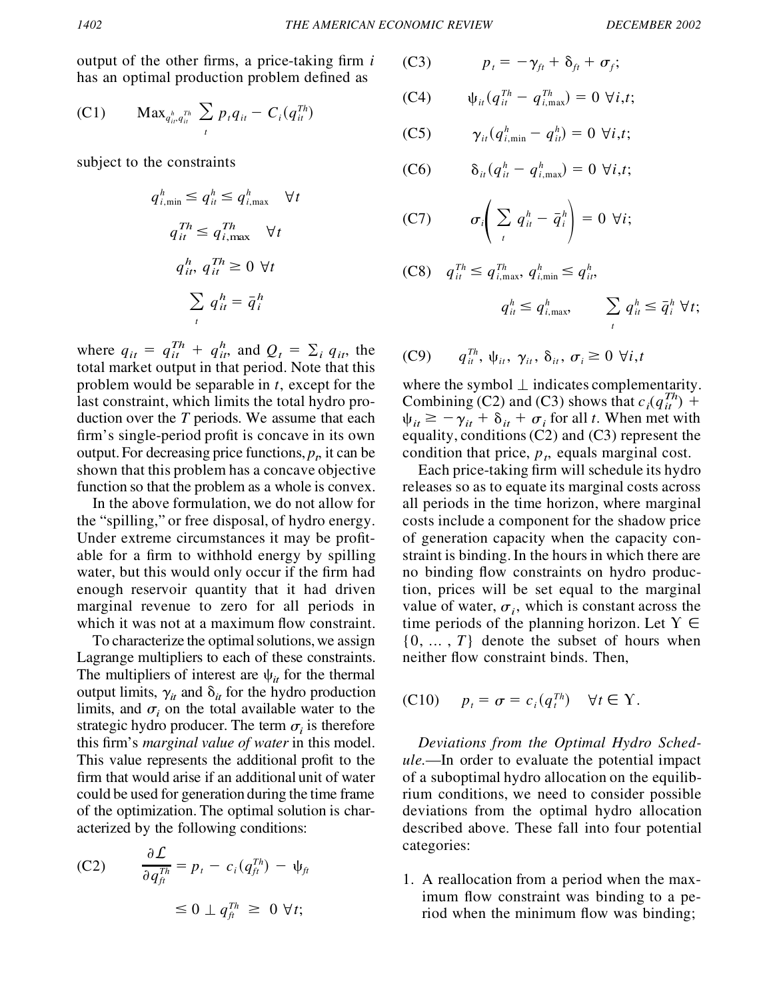output of the other firms, a price-taking firm *i* has an optimal production problem defined as

$$
(C1) \qquad \text{Max}_{q_{ii}^h,q_{ii}^{Th}} \sum_{t} p_t q_{it} - C_i(q_{it}^{Th})
$$

subject to the constraints

$$
q_{i,\min}^h \le q_{it}^h \le q_{i,\max}^h \quad \forall t
$$
  

$$
q_{it}^{Th} \le q_{i,\max}^{Th} \quad \forall t
$$
  

$$
q_{it}^h, q_{it}^{Th} \ge 0 \quad \forall t
$$
  

$$
\sum_{t} q_{it}^h = \bar{q}_i^h
$$

where  $q_{it} = q_{it}^{Th} + q_{it}^{h}$ , and  $Q_t = \sum_i q_{it}$ , the total market output in that period. Note that this problem would be separable in *t*, except for the last constraint, which limits the total hydro production over the *T* periods. We assume that each firm's single-period profit is concave in its own output. For decreasing price functions,  $p<sub>r</sub>$ , it can be shown that this problem has a concave objective function so that the problem as a whole is convex.

In the above formulation, we do not allow for the "spilling," or free disposal, of hydro energy. Under extreme circumstances it may be profitable for a firm to withhold energy by spilling water, but this would only occur if the firm had enough reservoir quantity that it had driven marginal revenue to zero for all periods in which it was not at a maximum flow constraint.

To characterize the optimal solutions, we assign Lagrange multipliers to each of these constraints. The multipliers of interest are  $\psi_{it}$  for the thermal output limits,  $\gamma_{it}$  and  $\delta_{it}$  for the hydro production limits, and  $\sigma$ *<sub>i</sub>* on the total available water to the strategic hydro producer. The term  $\sigma_i$  is therefore this firm's *marginal value of water* in this model. This value represents the additional profit to the firm that would arise if an additional unit of water could be used for generation during the time frame of the optimization. The optimal solution is characterized by the following conditions:

(C2) 
$$
\frac{\partial \mathcal{L}}{\partial q_f^{Th}} = p_t - c_i(q_{ft}^{Th}) - \psi_{ft}
$$

$$
\leq 0 \perp q_f^{Th} \geq 0 \ \forall t;
$$

(C3) 
$$
p_t = -\gamma_{ft} + \delta_{ft} + \sigma_f;
$$

$$
(C4) \qquad \psi_{it}(q_{it}^{Th}-q_{i,\text{max}}^{Th})=0 \ \forall i,t;
$$

(C5) 
$$
\gamma_{it}(q_{i,\min}^h - q_{it}^h) = 0 \ \forall i,t;
$$

(C6) 
$$
\delta_{it}(q_{it}^h - q_{i,\text{max}}^h) = 0 \ \forall i,t;
$$

(C7) 
$$
\sigma_i \bigg( \sum_t q_{it}^h - \overline{q}_i^h \bigg) = 0 \ \forall i;
$$

(C8) 
$$
q_{ii}^{Th} \leq q_{i,\text{max}}^{Th}, q_{i,\text{min}}^h \leq q_{ii}^h,
$$
  
 $q_{ii}^h \leq q_{i,\text{max}}^h, \qquad \sum_i q_{ii}^h \leq \bar{q}_i^h \ \forall t;$ 

(C9) 
$$
q_{it}^{Th}
$$
,  $\psi_{it}$ ,  $\gamma_{it}$ ,  $\delta_{it}$ ,  $\sigma_i \ge 0$   $\forall i, t$ 

where the symbol  $\perp$  indicates complementarity. Combining (C2) and (C3) shows that  $c_i(q_i^{Th})$  +  $\psi_{it} \geq -\gamma_{it} + \delta_{it} + \sigma_i$  for all *t*. When met with equality, conditions (C2) and (C3) represent the condition that price,  $p_t$ , equals marginal cost.

Each price-taking firm will schedule its hydro releases so as to equate its marginal costs across all periods in the time horizon, where marginal costs include a component for the shadow price of generation capacity when the capacity constraint is binding. In the hours in which there are no binding flow constraints on hydro production, prices will be set equal to the marginal value of water,  $\sigma_i$ , which is constant across the time periods of the planning horizon. Let  $Y \in$ {0, ... , *T*} denote the subset of hours when neither flow constraint binds. Then,

(C10) 
$$
p_t = \sigma = c_i(q_t^{Th}) \quad \forall t \in \Upsilon.
$$

*Deviations from the Optimal Hydro Schedule.*—In order to evaluate the potential impact of a suboptimal hydro allocation on the equilibrium conditions, we need to consider possible deviations from the optimal hydro allocation described above. These fall into four potential categories:

1. A reallocation from a period when the maximum flow constraint was binding to a period when the minimum flow was binding;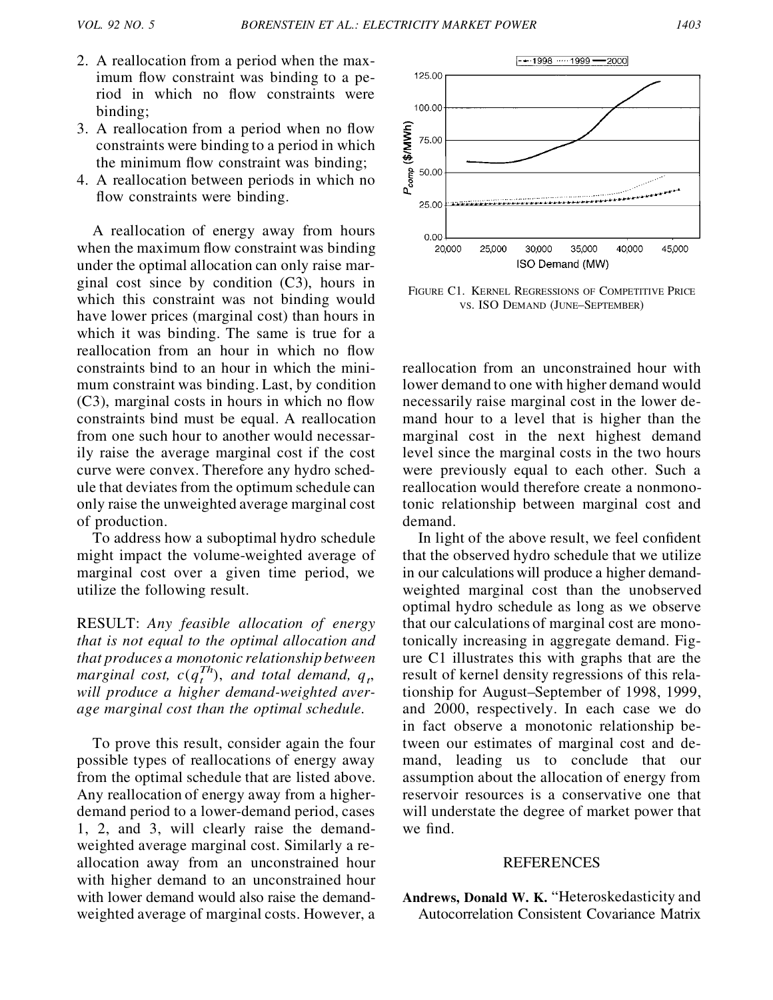- 2. A reallocation from a period when the maximum flow constraint was binding to a period in which no flow constraints were binding;
- 3. A reallocation from a period when no flow constraints were binding to a period in which the minimum flow constraint was binding;
- 4. A reallocation between periods in which no flow constraints were binding.

A reallocation of energy away from hours when the maximum flow constraint was binding under the optimal allocation can only raise marginal cost since by condition (C3), hours in which this constraint was not binding would have lower prices (marginal cost) than hours in which it was binding. The same is true for a reallocation from an hour in which no flow constraints bind to an hour in which the minimum constraint was binding. Last, by condition  $(C3)$ , marginal costs in hours in which no flow constraints bind must be equal. A reallocation from one such hour to another would necessarily raise the average marginal cost if the cost curve were convex. Therefore any hydro schedule that deviates from the optimum schedule can only raise the unweighted average marginal cost of production.

To address how a suboptimal hydro schedule might impact the volume-weighted average of marginal cost over a given time period, we utilize the following result.

RESULT: *Any feasible allocation of energy that is not equal to the optimal allocation and that produces a monotonic relationship between*  $max_{t}$  *and cost, c*( $q_t^{Th}$ ), *and total demand,*  $q_t$ , *will produce a higher demand-weighted average marginal cost than the optimal schedule.*

To prove this result, consider again the four possible types of reallocations of energy away from the optimal schedule that are listed above. Any reallocation of energy away from a higherdemand period to a lower-demand period, cases 1, 2, and 3, will clearly raise the demandweighted average marginal cost. Similarly a reallocation away from an unconstrained hour with higher demand to an unconstrained hour with lower demand would also raise the demandweighted average of marginal costs. However, a



FIGURE C1. KERNEL REGRESSIONS OF COMPETITIVE PRICE VS. ISO DEMAND (JUNE–SEPTEMBER)

reallocation from an unconstrained hour with lower demand to one with higher demand would necessarily raise marginal cost in the lower demand hour to a level that is higher than the marginal cost in the next highest demand level since the marginal costs in the two hours were previously equal to each other. Such a reallocation would therefore create a nonmonotonic relationship between marginal cost and demand.

In light of the above result, we feel confident that the observed hydro schedule that we utilize in our calculations will produce a higher demandweighted marginal cost than the unobserved optimal hydro schedule as long as we observe that our calculations of marginal cost are monotonically increasing in aggregate demand. Figure C1 illustrates this with graphs that are the result of kernel density regressions of this relationship for August–September of 1998, 1999, and 2000, respectively. In each case we do in fact observe a monotonic relationship between our estimates of marginal cost and demand, leading us to conclude that our assumption about the allocation of energy from reservoir resources is a conservative one that will understate the degree of market power that we find.

## **REFERENCES**

**Andrews, Donald W. K.** "Heteroskedasticity and Autocorrelation Consistent Covariance Matrix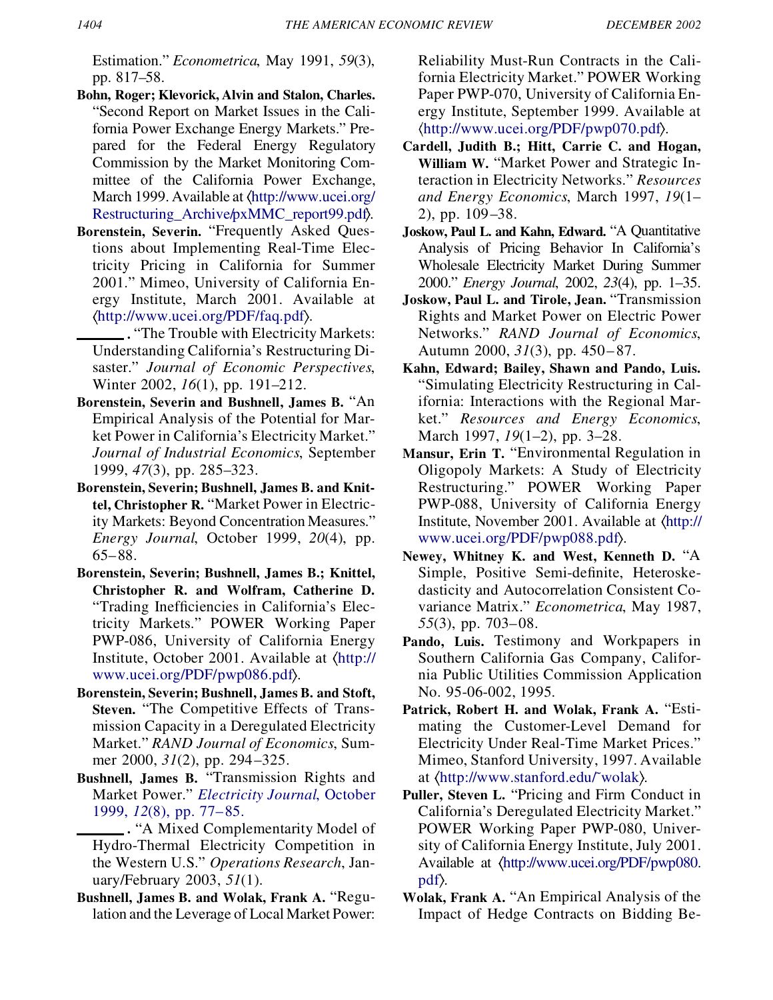Estimation." *Econometrica*, May 1991, *59*(3), pp. 817–58.

- **Bohn, Roger; Klevorick, Alvin and Stalon, Charles.** "Second Report on Market Issues in the California Power Exchange Energy Markets." Prepared for the Federal Energy Regulatory Commission by the Market Monitoring Committee of the California Power Exchange, March 1999. Available at  $\langle$ http://www.ucei.org/ Restructuring\_Archive/pxMMC\_report99.pdf).
- **Borenstein, Severin.** "Frequently Asked Questions about Implementing Real-Time Electricity Pricing in California for Summer 2001." Mimeo, University of California Energy Institute, March 2001. Available at http://www.ucei.org/PDF/faq.pdf .
- ... "The Trouble with Electricity Markets: Understanding California's Restructuring Disaster." *Journal of Economic Perspectives*, Winter 2002, *16*(1), pp. 191–212.
- **Borenstein, Severin and Bushnell, James B.** "An Empirical Analysis of the Potential for Market Power in California's Electricity Market." *Journal of Industrial Economics*, September 1999, *47*(3), pp. 285–323.
- **Borenstein, Severin; Bushnell, James B. and Knittel, Christopher R.** "Market Power in Electricity Markets: Beyond Concentration Measures." *Energy Journal*, October 1999, *20*(4), pp. 65– 88.
- **Borenstein, Severin; Bushnell, James B.; Knittel, Christopher R. and Wolfram, Catherine D.** "Trading Inefficiencies in California's Electricity Markets." POWER Working Paper PWP-086, University of California Energy Institute, October 2001. Available at  $\langle \frac{http://}{http://} \rangle$ www.ucei.org/PDF/pwp086.pdf).
- **Borenstein, Severin; Bushnell, James B. and Stoft, Steven.** "The Competitive Effects of Transmission Capacity in a Deregulated Electricity Market." *RAND Journal of Economics*, Summer 2000, *31*(2), pp. 294 –325.
- **Bushnell, James B.** "Transmission Rights and Market Power." *Electricity Journal*, October 1999, *12*(8), pp. 77– 85.
	- **.** "A Mixed Complementarity Model of Hydro-Thermal Electricity Competition in the Western U.S." *Operations Research*, January/February 2003, *51*(1).
- **Bushnell, James B. and Wolak, Frank A.** "Regulation and the Leverage of Local Market Power:

Reliability Must-Run Contracts in the California Electricity Market." POWER Working Paper PWP-070, University of California Energy Institute, September 1999. Available at  $\langle$ http://www.ucei.org/PDF/pwp070.pdf $\rangle$ .

- **Cardell, Judith B.; Hitt, Carrie C. and Hogan, William W.** "Market Power and Strategic Interaction in Electricity Networks." *Resources and Energy Economics*, March 1997, *19*(1– 2), pp. 109 –38.
- **Joskow, Paul L. and Kahn, Edward.** "A Quantitative Analysis of Pricing Behavior In California's Wholesale Electricity Market During Summer 2000." *Energy Journal*, 2002, *23*(4), pp. 1–35.
- **Joskow, Paul L. and Tirole, Jean.** "Transmission Rights and Market Power on Electric Power Networks." *RAND Journal of Economics*, Autumn 2000, 31(3), pp. 450–87.
- **Kahn, Edward; Bailey, Shawn and Pando, Luis.** "Simulating Electricity Restructuring in California: Interactions with the Regional Market." *Resources and Energy Economics*, March 1997, *19*(1–2), pp. 3–28.
- **Mansur, Erin T.** "Environmental Regulation in Oligopoly Markets: A Study of Electricity Restructuring." POWER Working Paper PWP-088, University of California Energy Institute, November 2001. Available at  $\langle$ http:// www.ucei.org/PDF/pwp088.pdf).
- **Newey, Whitney K. and West, Kenneth D.** "A Simple, Positive Semi-definite, Heteroskedasticity and Autocorrelation Consistent Covariance Matrix." *Econometrica*, May 1987, *55*(3), pp. 703–08.
- **Pando, Luis.** Testimony and Workpapers in Southern California Gas Company, California Public Utilities Commission Application No. 95-06-002, 1995.
- **Patrick, Robert H. and Wolak, Frank A.** "Estimating the Customer-Level Demand for Electricity Under Real-Time Market Prices." Mimeo, Stanford University, 1997. Available at  $\langle$ http://www.stanford.edu/~wolak $\rangle$ .
- **Puller, Steven L.** "Pricing and Firm Conduct in California's Deregulated Electricity Market." POWER Working Paper PWP-080, University of California Energy Institute, July 2001. Available at  $\langle \frac{http://www.ucei.org/PDF/pwp080.}{http://www.ucei.org/PDF/pwp080.}$  $pdf$ .
- **Wolak, Frank A.** "An Empirical Analysis of the Impact of Hedge Contracts on Bidding Be-